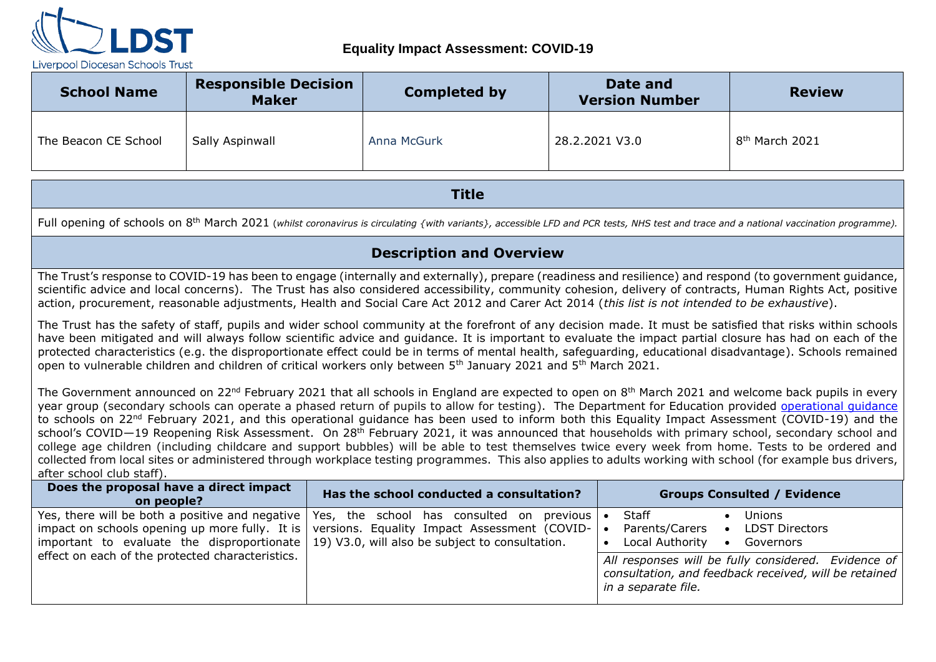

| <b>School Name</b>   | <b>Responsible Decision</b><br><b>Maker</b> | <b>Completed by</b> | Date and<br><b>Version Number</b> | <b>Review</b>              |
|----------------------|---------------------------------------------|---------------------|-----------------------------------|----------------------------|
| The Beacon CE School | Sally Aspinwall                             | Anna McGurk         | 28.2.2021 V3.0                    | 8 <sup>th</sup> March 2021 |

**Title**

Full opening of schools on 8<sup>th</sup> March 2021 (whilst coronavirus is circulating {with variants}, accessible LFD and PCR tests, NHS test and trace and a national vaccination programme).

#### **Description and Overview**

The Trust's response to COVID-19 has been to engage (internally and externally), prepare (readiness and resilience) and respond (to government guidance, scientific advice and local concerns). The Trust has also considered accessibility, community cohesion, delivery of contracts, Human Rights Act, positive action, procurement, reasonable adjustments, Health and Social Care Act 2012 and Carer Act 2014 (*this list is not intended to be exhaustive*).

The Trust has the safety of staff, pupils and wider school community at the forefront of any decision made. It must be satisfied that risks within schools have been mitigated and will always follow scientific advice and guidance. It is important to evaluate the impact partial closure has had on each of the protected characteristics (e.g. the disproportionate effect could be in terms of mental health, safeguarding, educational disadvantage). Schools remained open to vulnerable children and children of critical workers only between 5<sup>th</sup> January 2021 and 5<sup>th</sup> March 2021.

The Government announced on 22<sup>nd</sup> February 2021 that all schools in England are expected to open on 8<sup>th</sup> March 2021 and welcome back pupils in every year group (secondary schools can operate a phased return of pupils to allow for testing). The Department for Education provided [operational guidance](https://assets.publishing.service.gov.uk/government/uploads/system/uploads/attachment_data/file/964351/Schools_coronavirus_operational_guidance.pdf) to schools on 22<sup>nd</sup> February 2021, and this operational quidance has been used to inform both this Equality Impact Assessment (COVID-19) and the school's COVID—19 Reopening Risk Assessment. On 28<sup>th</sup> February 2021, it was announced that households with primary school, secondary school and college age children (including childcare and support bubbles) will be able to test themselves twice every week from home. Tests to be ordered and collected from local sites or administered through workplace testing programmes. This also applies to adults working with school (for example bus drivers, after school club staff).

| Does the proposal have a direct impact<br>on people?                                                                                                                                                                                         | Has the school conducted a consultation?                                                                | <b>Groups Consulted / Evidence</b>                                                                                                                                                                                                                                 |
|----------------------------------------------------------------------------------------------------------------------------------------------------------------------------------------------------------------------------------------------|---------------------------------------------------------------------------------------------------------|--------------------------------------------------------------------------------------------------------------------------------------------------------------------------------------------------------------------------------------------------------------------|
| Yes, there will be both a positive and negative   Yes, the school has consulted on<br>important to evaluate the disproportionate $\vert$ 19) V3.0, will also be subject to consultation.<br>effect on each of the protected characteristics. | previous<br>impact on schools opening up more fully. It is versions. Equality Impact Assessment (COVID- | Staff<br><b>Unions</b><br><b>LDST Directors</b><br>Parents/Carers<br>$\bullet$<br>Local Authority<br>Governors<br>$\bullet$<br>All responses will be fully considered. Evidence of<br>consultation, and feedback received, will be retained<br>in a separate file. |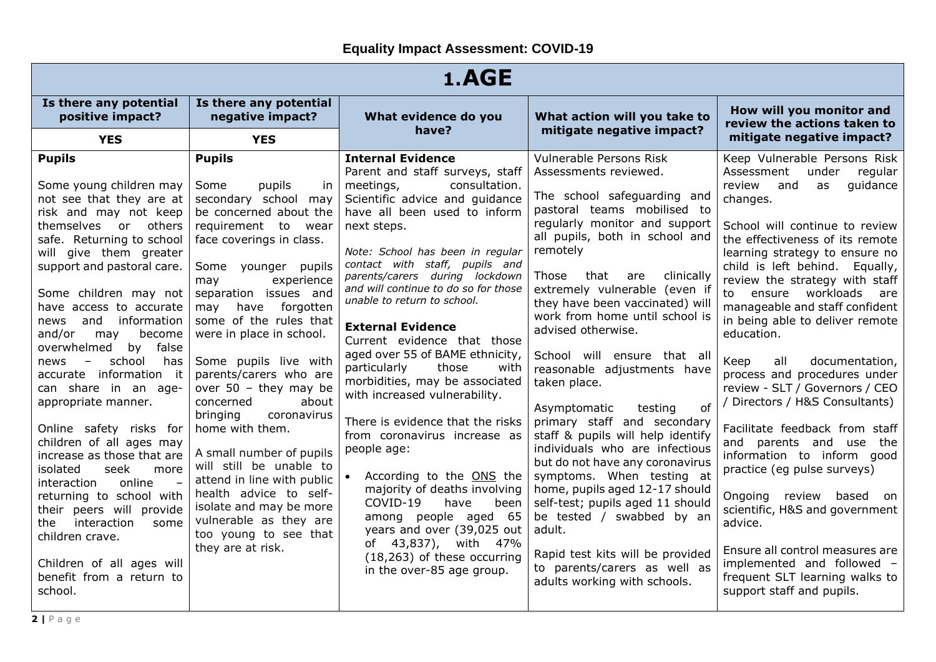| 1.AGE                                                                                                                                                                                                                                                                                                                                                                                                                                                                                                                                                                                                                                                                                                                            |                                                                                                                                                                                                                                                                                                                                                                                                                                                                                                                                                                                                                                                                 |                                                                                                                                                                                                                                                                                                                                                                                                                                                                                                                                                                                                                                                                                                                                                                                              |                                                                                                                                                                                                                                                                                                                                                                                                                                                                                                                                                                                                                                                                                                                                                                   |                                                                                                                                                                                                                                                                                                                                                                                                                                                                                                                                                                                                                                                                                                                                                                                     |  |
|----------------------------------------------------------------------------------------------------------------------------------------------------------------------------------------------------------------------------------------------------------------------------------------------------------------------------------------------------------------------------------------------------------------------------------------------------------------------------------------------------------------------------------------------------------------------------------------------------------------------------------------------------------------------------------------------------------------------------------|-----------------------------------------------------------------------------------------------------------------------------------------------------------------------------------------------------------------------------------------------------------------------------------------------------------------------------------------------------------------------------------------------------------------------------------------------------------------------------------------------------------------------------------------------------------------------------------------------------------------------------------------------------------------|----------------------------------------------------------------------------------------------------------------------------------------------------------------------------------------------------------------------------------------------------------------------------------------------------------------------------------------------------------------------------------------------------------------------------------------------------------------------------------------------------------------------------------------------------------------------------------------------------------------------------------------------------------------------------------------------------------------------------------------------------------------------------------------------|-------------------------------------------------------------------------------------------------------------------------------------------------------------------------------------------------------------------------------------------------------------------------------------------------------------------------------------------------------------------------------------------------------------------------------------------------------------------------------------------------------------------------------------------------------------------------------------------------------------------------------------------------------------------------------------------------------------------------------------------------------------------|-------------------------------------------------------------------------------------------------------------------------------------------------------------------------------------------------------------------------------------------------------------------------------------------------------------------------------------------------------------------------------------------------------------------------------------------------------------------------------------------------------------------------------------------------------------------------------------------------------------------------------------------------------------------------------------------------------------------------------------------------------------------------------------|--|
| Is there any potential<br>positive impact?                                                                                                                                                                                                                                                                                                                                                                                                                                                                                                                                                                                                                                                                                       | Is there any potential<br>negative impact?                                                                                                                                                                                                                                                                                                                                                                                                                                                                                                                                                                                                                      | What evidence do you<br>have?                                                                                                                                                                                                                                                                                                                                                                                                                                                                                                                                                                                                                                                                                                                                                                | What action will you take to<br>mitigate negative impact?                                                                                                                                                                                                                                                                                                                                                                                                                                                                                                                                                                                                                                                                                                         | How will you monitor and<br>review the actions taken to                                                                                                                                                                                                                                                                                                                                                                                                                                                                                                                                                                                                                                                                                                                             |  |
| <b>YES</b><br><b>Pupils</b><br>Some young children may<br>not see that they are at<br>risk and may not keep<br>themselves or others<br>safe. Returning to school<br>will give them greater<br>support and pastoral care.<br>Some children may not<br>have access to accurate<br>information<br>and<br>news<br>and/or<br>become<br>may<br>false<br>overwhelmed<br>by<br>school<br>has<br>news<br>$-$<br>accurate information it<br>can share in an age-<br>appropriate manner.<br>Online safety risks for<br>children of all ages may<br>increase as those that are<br>seek<br>isolated<br>more<br>online<br>interaction<br>returning to school with<br>their peers will provide<br>interaction<br>the<br>some<br>children crave. | <b>YES</b><br><b>Pupils</b><br>Some<br>pupils<br>in.<br>secondary school may<br>be concerned about the<br>requirement to<br>wear<br>face coverings in class.<br>Some younger pupils<br>experience<br>may<br>separation issues and<br>forgotten<br>may have<br>some of the rules that<br>were in place in school.<br>Some pupils live with<br>parents/carers who are<br>over $50 -$ they may be<br>about<br>concerned<br>bringing<br>coronavirus<br>home with them.<br>A small number of pupils<br>will still be unable to<br>attend in line with public<br>health advice to self-<br>isolate and may be more<br>vulnerable as they are<br>too young to see that | <b>Internal Evidence</b><br>Parent and staff surveys, staff<br>meetings,<br>consultation.<br>Scientific advice and quidance<br>have all been used to inform<br>next steps.<br>Note: School has been in regular<br>contact with staff, pupils and<br>parents/carers during lockdown<br>and will continue to do so for those<br>unable to return to school.<br><b>External Evidence</b><br>Current evidence that those<br>aged over 55 of BAME ethnicity,<br>particularly<br>those<br>with<br>morbidities, may be associated<br>with increased vulnerability.<br>There is evidence that the risks<br>from coronavirus increase as<br>people age:<br>According to the ONS the<br>majority of deaths involving<br>COVID-19<br>have<br>been<br>among people aged 65<br>years and over (39,025 out | Vulnerable Persons Risk<br>Assessments reviewed.<br>The school safeguarding and<br>pastoral teams mobilised to<br>regularly monitor and support<br>all pupils, both in school and<br>remotely<br>that<br>clinically<br>Those<br>are<br>extremely vulnerable (even if<br>they have been vaccinated) will<br>work from home until school is<br>advised otherwise.<br>School will ensure that all<br>reasonable adjustments have<br>taken place.<br>of<br>Asymptomatic<br>testing<br>primary staff and secondary<br>staff & pupils will help identify<br>individuals who are infectious<br>but do not have any coronavirus<br>symptoms. When testing at<br>home, pupils aged 12-17 should<br>self-test; pupils aged 11 should<br>be tested / swabbed by an<br>adult. | mitigate negative impact?<br>Keep Vulnerable Persons Risk<br>Assessment<br>under<br>regular<br>quidance<br>review<br>and<br>as<br>changes.<br>School will continue to review<br>the effectiveness of its remote<br>learning strategy to ensure no<br>child is left behind. Equally,<br>review the strategy with staff<br>to ensure workloads<br>are<br>manageable and staff confident<br>in being able to deliver remote<br>education.<br>all<br>documentation,<br>Keep<br>process and procedures under<br>review - SLT / Governors / CEO<br>/ Directors / H&S Consultants)<br>Facilitate feedback from staff<br>and parents and use the<br>information to inform good<br>practice (eg pulse surveys)<br>Ongoing<br>review<br>based on<br>scientific, H&S and government<br>advice. |  |
| Children of all ages will<br>benefit from a return to<br>school.                                                                                                                                                                                                                                                                                                                                                                                                                                                                                                                                                                                                                                                                 | they are at risk.                                                                                                                                                                                                                                                                                                                                                                                                                                                                                                                                                                                                                                               | of 43,837), with 47%<br>(18,263) of these occurring<br>in the over-85 age group.                                                                                                                                                                                                                                                                                                                                                                                                                                                                                                                                                                                                                                                                                                             | Rapid test kits will be provided<br>to parents/carers as well as<br>adults working with schools.                                                                                                                                                                                                                                                                                                                                                                                                                                                                                                                                                                                                                                                                  | Ensure all control measures are<br>implemented and followed -<br>frequent SLT learning walks to<br>support staff and pupils.                                                                                                                                                                                                                                                                                                                                                                                                                                                                                                                                                                                                                                                        |  |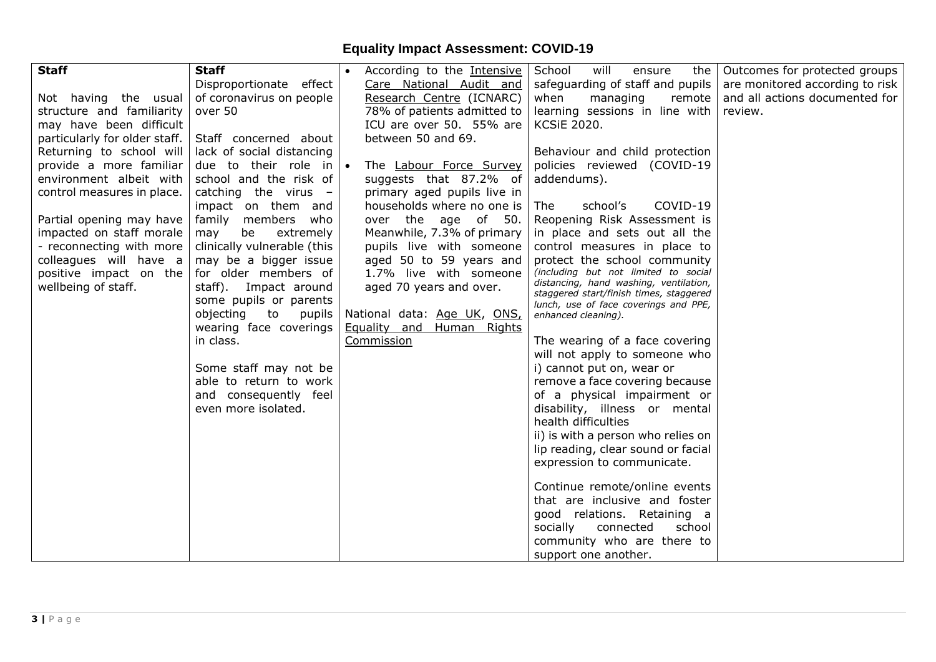| <b>Staff</b>                  | <b>Staff</b>                 | According to the Intensive       | School<br>will<br>ensure<br>the                                                  | Outcomes for protected groups   |
|-------------------------------|------------------------------|----------------------------------|----------------------------------------------------------------------------------|---------------------------------|
|                               | Disproportionate effect      | Care National Audit and          | safeguarding of staff and pupils                                                 | are monitored according to risk |
| Not having the usual          | of coronavirus on people     | Research Centre (ICNARC)         | when<br>remote<br>managing                                                       | and all actions documented for  |
| structure and familiarity     | over 50                      | 78% of patients admitted to      | learning sessions in line with                                                   | review.                         |
| may have been difficult       |                              | ICU are over 50. 55% are         | <b>KCSiE 2020.</b>                                                               |                                 |
| particularly for older staff. | Staff concerned about        | between 50 and 69.               |                                                                                  |                                 |
| Returning to school will      | lack of social distancing    |                                  | Behaviour and child protection                                                   |                                 |
| provide a more familiar       | due to their role in $\cdot$ | The Labour Force Survey          | policies reviewed (COVID-19                                                      |                                 |
| environment albeit with       | school and the risk of       | suggests that 87.2% of           | addendums).                                                                      |                                 |
| control measures in place.    | catching the virus -         | primary aged pupils live in      |                                                                                  |                                 |
|                               | impact on them and           | households where no one is       | COVID-19<br>The<br>school's                                                      |                                 |
| Partial opening may have      | family members who           | over the age of 50.              | Reopening Risk Assessment is                                                     |                                 |
| impacted on staff morale      | be<br>extremely<br>may       | Meanwhile, 7.3% of primary       | in place and sets out all the                                                    |                                 |
| - reconnecting with more      | clinically vulnerable (this  | pupils live with someone         | control measures in place to                                                     |                                 |
| colleagues will have a        | may be a bigger issue        | aged 50 to 59 years and          | protect the school community                                                     |                                 |
| positive impact on the        | for older members of         | 1.7% live with someone           | (including but not limited to social                                             |                                 |
| wellbeing of staff.           | staff). Impact around        | aged 70 years and over.          | distancing, hand washing, ventilation,                                           |                                 |
|                               | some pupils or parents       |                                  | staggered start/finish times, staggered<br>lunch, use of face coverings and PPE, |                                 |
|                               | objecting to<br>pupils       | National data: Age UK, ONS,      | enhanced cleaning).                                                              |                                 |
|                               | wearing face coverings       | <b>Equality and Human Rights</b> |                                                                                  |                                 |
|                               | in class.                    | Commission                       | The wearing of a face covering                                                   |                                 |
|                               |                              |                                  | will not apply to someone who                                                    |                                 |
|                               | Some staff may not be        |                                  | i) cannot put on, wear or                                                        |                                 |
|                               | able to return to work       |                                  | remove a face covering because                                                   |                                 |
|                               | and consequently feel        |                                  | of a physical impairment or                                                      |                                 |
|                               | even more isolated.          |                                  | disability, illness or mental                                                    |                                 |
|                               |                              |                                  | health difficulties                                                              |                                 |
|                               |                              |                                  | ii) is with a person who relies on                                               |                                 |
|                               |                              |                                  | lip reading, clear sound or facial                                               |                                 |
|                               |                              |                                  | expression to communicate.                                                       |                                 |
|                               |                              |                                  |                                                                                  |                                 |
|                               |                              |                                  | Continue remote/online events                                                    |                                 |
|                               |                              |                                  | that are inclusive and foster                                                    |                                 |
|                               |                              |                                  | good relations. Retaining a                                                      |                                 |
|                               |                              |                                  | socially<br>connected<br>school                                                  |                                 |
|                               |                              |                                  | community who are there to                                                       |                                 |
|                               |                              |                                  | support one another.                                                             |                                 |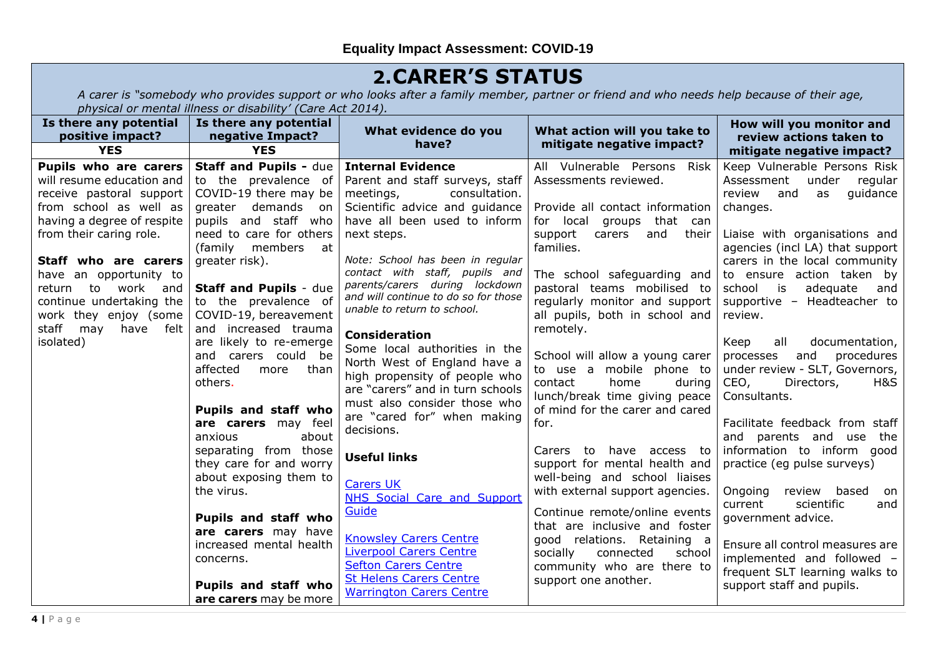### **2.CARER'S STATUS**

*A carer is "somebody who provides support or who looks after a family member, partner or friend and who needs help because of their age, physical or mental illness or disability' (Care Act 2014).*

| Is there any potential<br>positive impact?                                                                                                                                                                                                                                                           | Is there any potential<br>negative Impact?                                                                                                                                                                                                                                                 | What evidence do you                                                                                                                                                                                                                                                                                                                                      | What action will you take to                                                                                                                                                                                                                                                                                  | How will you monitor and<br>review actions taken to                                                                                                                                                                                                                                                                       |
|------------------------------------------------------------------------------------------------------------------------------------------------------------------------------------------------------------------------------------------------------------------------------------------------------|--------------------------------------------------------------------------------------------------------------------------------------------------------------------------------------------------------------------------------------------------------------------------------------------|-----------------------------------------------------------------------------------------------------------------------------------------------------------------------------------------------------------------------------------------------------------------------------------------------------------------------------------------------------------|---------------------------------------------------------------------------------------------------------------------------------------------------------------------------------------------------------------------------------------------------------------------------------------------------------------|---------------------------------------------------------------------------------------------------------------------------------------------------------------------------------------------------------------------------------------------------------------------------------------------------------------------------|
| <b>YES</b>                                                                                                                                                                                                                                                                                           | <b>YES</b>                                                                                                                                                                                                                                                                                 | have?                                                                                                                                                                                                                                                                                                                                                     | mitigate negative impact?                                                                                                                                                                                                                                                                                     | mitigate negative impact?                                                                                                                                                                                                                                                                                                 |
| Pupils who are carers<br>will resume education and<br>receive pastoral support<br>from school as well as<br>having a degree of respite<br>from their caring role.<br>Staff who are carers<br>have an opportunity to<br>to<br>work and<br>return<br>continue undertaking the<br>work they enjoy (some | <b>Staff and Pupils - due</b><br>to the prevalence of<br>COVID-19 there may be<br>greater demands<br>- on<br>pupils and staff who<br>need to care for others<br>(family members)<br>at<br>greater risk).<br><b>Staff and Pupils - due</b><br>to the prevalence of<br>COVID-19, bereavement | <b>Internal Evidence</b><br>Parent and staff surveys, staff<br>meetings,<br>consultation.<br>Scientific advice and guidance<br>have all been used to inform<br>next steps.<br>Note: School has been in regular<br>contact with staff, pupils and<br>parents/carers during lockdown<br>and will continue to do so for those<br>unable to return to school. | All Vulnerable Persons Risk<br>Assessments reviewed.<br>Provide all contact information<br>for local<br>that can<br>groups<br>and<br>their<br>support<br>carers<br>families.<br>The school safeguarding and<br>pastoral teams mobilised to<br>regularly monitor and support<br>all pupils, both in school and | Keep Vulnerable Persons Risk<br>Assessment<br>under<br>regular<br>review<br>guidance<br>and<br>as<br>changes.<br>Liaise with organisations and<br>agencies (incl LA) that support<br>carers in the local community<br>to ensure action taken by<br>school is<br>adequate<br>and<br>supportive - Headteacher to<br>review. |
| staff<br>may<br>have<br>felt<br>isolated)                                                                                                                                                                                                                                                            | and increased trauma<br>are likely to re-emerge<br>and carers could be<br>affected<br>than<br>more<br>others.<br><b>Pupils and staff who</b><br>are carers may feel<br>about<br>anxious                                                                                                    | <b>Consideration</b><br>Some local authorities in the<br>North West of England have a<br>high propensity of people who<br>are "carers" and in turn schools<br>must also consider those who<br>are "cared for" when making<br>decisions.                                                                                                                   | remotely.<br>School will allow a young carer<br>to use a mobile phone to<br>contact<br>home<br>during<br>lunch/break time giving peace<br>of mind for the carer and cared<br>for.                                                                                                                             | all<br>documentation,<br>Keep<br>and<br>procedures<br>processes<br>under review - SLT, Governors,<br>CEO,<br>Directors,<br>H&S<br>Consultants.<br>Facilitate feedback from staff<br>and parents and use<br>the                                                                                                            |
|                                                                                                                                                                                                                                                                                                      | separating from those<br>they care for and worry<br>about exposing them to<br>the virus.                                                                                                                                                                                                   | <b>Useful links</b><br><b>Carers UK</b><br><b>NHS Social Care and Support</b><br>Guide                                                                                                                                                                                                                                                                    | Carers to have access to<br>support for mental health and<br>well-being and school liaises<br>with external support agencies.<br>Continue remote/online events                                                                                                                                                | information to inform good<br>practice (eg pulse surveys)<br>Ongoing<br>review based<br>on<br>scientific<br>current<br>and                                                                                                                                                                                                |
|                                                                                                                                                                                                                                                                                                      | Pupils and staff who<br>are carers may have<br>increased mental health<br>concerns.<br>Pupils and staff who                                                                                                                                                                                | <b>Knowsley Carers Centre</b><br><b>Liverpool Carers Centre</b><br><b>Sefton Carers Centre</b><br><b>St Helens Carers Centre</b><br><b>Warrington Carers Centre</b>                                                                                                                                                                                       | that are inclusive and foster<br>good relations. Retaining a<br>socially<br>connected<br>school<br>community who are there to<br>support one another.                                                                                                                                                         | government advice.<br>Ensure all control measures are<br>implemented and followed -<br>frequent SLT learning walks to<br>support staff and pupils.                                                                                                                                                                        |
|                                                                                                                                                                                                                                                                                                      | are carers may be more                                                                                                                                                                                                                                                                     |                                                                                                                                                                                                                                                                                                                                                           |                                                                                                                                                                                                                                                                                                               |                                                                                                                                                                                                                                                                                                                           |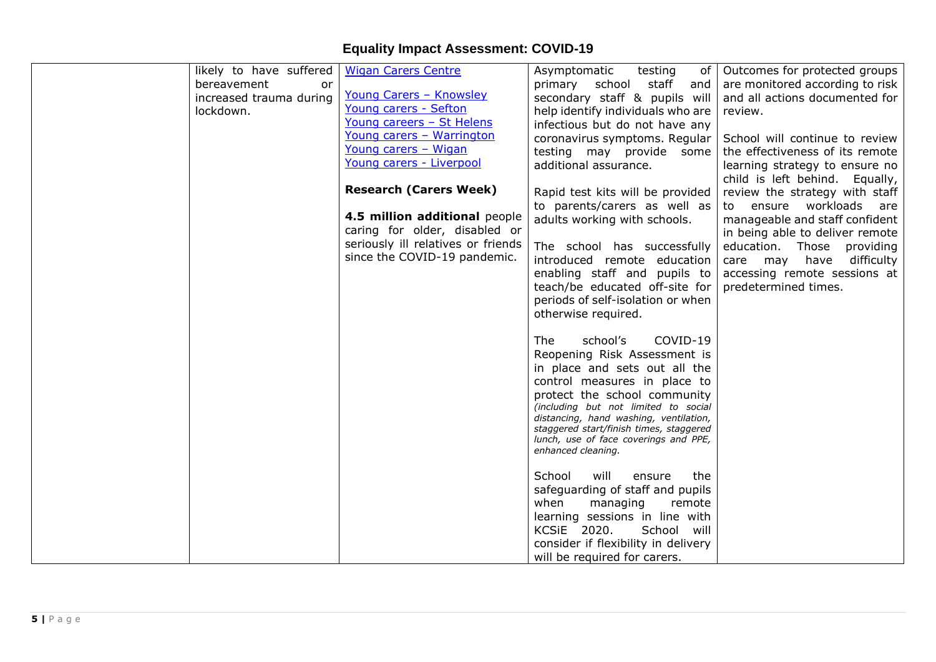| likely to have suffered | <b>Wigan Carers Centre</b>         | Asymptomatic<br>testing<br>of                                                    | Outcomes for protected groups   |
|-------------------------|------------------------------------|----------------------------------------------------------------------------------|---------------------------------|
| bereavement<br>or       |                                    | staff<br>primary<br>school<br>and                                                | are monitored according to risk |
| increased trauma during | <u>Young Carers - Knowsley</u>     | secondary staff & pupils will                                                    | and all actions documented for  |
| lockdown.               | Young carers - Sefton              | help identify individuals who are                                                | review.                         |
|                         | Young careers - St Helens          | infectious but do not have any                                                   |                                 |
|                         | Young carers - Warrington          | coronavirus symptoms. Regular                                                    | School will continue to review  |
|                         | Young carers - Wigan               | testing may provide some                                                         | the effectiveness of its remote |
|                         | Young carers - Liverpool           | additional assurance.                                                            | learning strategy to ensure no  |
|                         |                                    |                                                                                  | child is left behind. Equally,  |
|                         | <b>Research (Carers Week)</b>      |                                                                                  | review the strategy with staff  |
|                         |                                    | Rapid test kits will be provided                                                 |                                 |
|                         | 4.5 million additional people      | to parents/carers as well as                                                     | to ensure workloads are         |
|                         | caring for older, disabled or      | adults working with schools.                                                     | manageable and staff confident  |
|                         | seriously ill relatives or friends |                                                                                  | in being able to deliver remote |
|                         | since the COVID-19 pandemic.       | The school has successfully                                                      | education. Those providing      |
|                         |                                    | introduced remote education                                                      | difficulty<br>care may have     |
|                         |                                    | enabling staff and pupils to                                                     | accessing remote sessions at    |
|                         |                                    | teach/be educated off-site for                                                   | predetermined times.            |
|                         |                                    | periods of self-isolation or when                                                |                                 |
|                         |                                    | otherwise required.                                                              |                                 |
|                         |                                    |                                                                                  |                                 |
|                         |                                    | COVID-19<br><b>The</b><br>school's                                               |                                 |
|                         |                                    | Reopening Risk Assessment is                                                     |                                 |
|                         |                                    | in place and sets out all the                                                    |                                 |
|                         |                                    | control measures in place to                                                     |                                 |
|                         |                                    | protect the school community                                                     |                                 |
|                         |                                    | (including but not limited to social                                             |                                 |
|                         |                                    | distancing, hand washing, ventilation,                                           |                                 |
|                         |                                    | staggered start/finish times, staggered<br>lunch, use of face coverings and PPE, |                                 |
|                         |                                    | enhanced cleaning.                                                               |                                 |
|                         |                                    |                                                                                  |                                 |
|                         |                                    | School<br>will<br>ensure<br>the                                                  |                                 |
|                         |                                    | safeguarding of staff and pupils                                                 |                                 |
|                         |                                    | when<br>managing<br>remote                                                       |                                 |
|                         |                                    | learning sessions in line with                                                   |                                 |
|                         |                                    | KCSiE 2020.<br>School will                                                       |                                 |
|                         |                                    | consider if flexibility in delivery                                              |                                 |
|                         |                                    | will be required for carers.                                                     |                                 |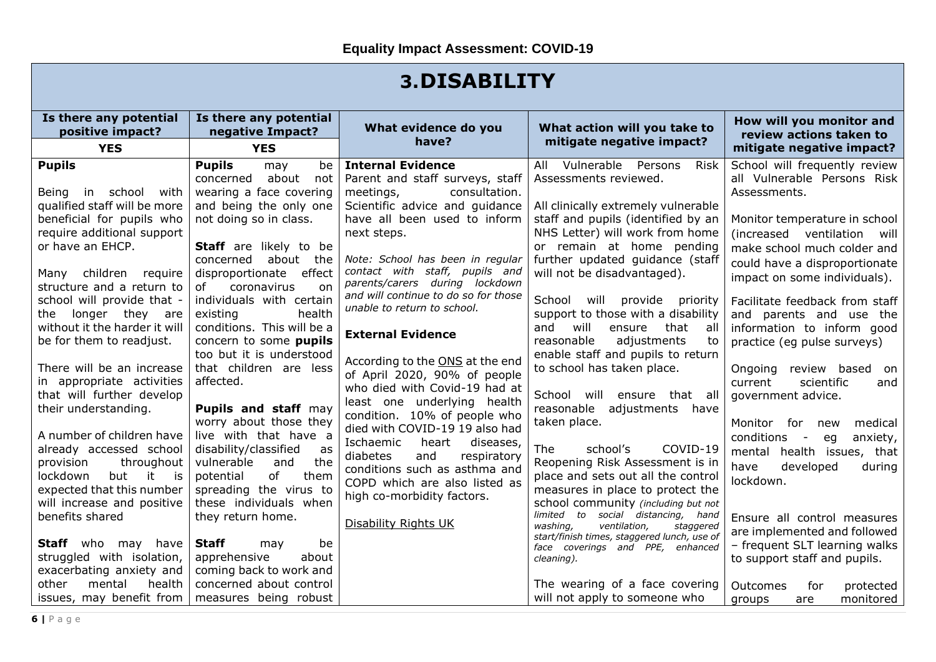### **3.DISABILITY**

| Is there any potential<br>positive impact? | Is there any potential<br>negative Impact?              | What evidence do you<br>have?        | What action will you take to<br>mitigate negative impact?                            | How will you monitor and<br>review actions taken to |
|--------------------------------------------|---------------------------------------------------------|--------------------------------------|--------------------------------------------------------------------------------------|-----------------------------------------------------|
| <b>YES</b>                                 | <b>YES</b>                                              |                                      |                                                                                      | mitigate negative impact?                           |
| <b>Pupils</b>                              | <b>Pupils</b><br>be<br>may                              | <b>Internal Evidence</b>             | All Vulnerable<br>Persons<br><b>Risk</b>                                             | School will frequently review                       |
|                                            | about<br>concerned<br>not                               | Parent and staff surveys, staff      | Assessments reviewed.                                                                | all Vulnerable Persons Risk                         |
| Being in school<br>with                    | wearing a face covering                                 | meetings,<br>consultation.           |                                                                                      | Assessments.                                        |
| qualified staff will be more               | and being the only one                                  | Scientific advice and guidance       | All clinically extremely vulnerable                                                  |                                                     |
| beneficial for pupils who                  | not doing so in class.                                  | have all been used to inform         | staff and pupils (identified by an                                                   | Monitor temperature in school                       |
| require additional support                 |                                                         | next steps.                          | NHS Letter) will work from home                                                      | (increased ventilation<br>will                      |
| or have an EHCP.                           | <b>Staff</b> are likely to be                           | Note: School has been in regular     | or remain at home pending                                                            | make school much colder and                         |
| children require<br>Many                   | concerned<br>about<br>the<br>disproportionate<br>effect | contact with staff, pupils and       | further updated guidance (staff<br>will not be disadvantaged).                       | could have a disproportionate                       |
| structure and a return to                  | coronavirus<br>οf<br>on                                 | parents/carers during lockdown       |                                                                                      | impact on some individuals).                        |
| school will provide that -                 | individuals with certain                                | and will continue to do so for those | School<br>will provide priority                                                      | Facilitate feedback from staff                      |
| longer they are<br>the                     | existing<br>health                                      | unable to return to school.          | support to those with a disability                                                   | and parents and use the                             |
| without it the harder it will              | conditions. This will be a                              |                                      | and<br>will<br>ensure<br>that<br>all                                                 | information to inform good                          |
| be for them to readjust.                   | concern to some pupils                                  | <b>External Evidence</b>             | reasonable<br>adjustments<br>to                                                      | practice (eg pulse surveys)                         |
|                                            | too but it is understood                                | According to the ONS at the end      | enable staff and pupils to return                                                    |                                                     |
| There will be an increase                  | that children are less                                  | of April 2020, 90% of people         | to school has taken place.                                                           | review based<br>Ongoing<br>on                       |
| in appropriate activities                  | affected.                                               | who died with Covid-19 had at        |                                                                                      | scientific<br>current<br>and                        |
| that will further develop                  |                                                         | least one underlying health          | School will ensure that all                                                          | government advice.                                  |
| their understanding.                       | Pupils and staff may                                    | condition. 10% of people who         | reasonable<br>adjustments<br>have                                                    |                                                     |
| A number of children have                  | worry about those they<br>live with that have a         | died with COVID-19 19 also had       | taken place.                                                                         | Monitor<br>for <b>f</b><br>medical<br>new           |
| already accessed school                    | disability/classified<br>as                             | Ischaemic<br>heart<br>diseases,      | The<br>school's<br>COVID-19                                                          | conditions<br>anxiety,<br>eg<br>$\sim$              |
| provision<br>throughout                    | vulnerable<br>the<br>and                                | diabetes<br>and<br>respiratory       | Reopening Risk Assessment is in                                                      | mental health issues, that                          |
| lockdown<br>but it<br>is is                | potential<br>of<br>them                                 | conditions such as asthma and        | place and sets out all the control                                                   | have<br>developed<br>during<br>lockdown.            |
| expected that this number                  | spreading the virus to                                  | COPD which are also listed as        | measures in place to protect the                                                     |                                                     |
| will increase and positive                 | these individuals when                                  | high co-morbidity factors.           | school community (including but not                                                  |                                                     |
| benefits shared                            | they return home.                                       | Disability Rights UK                 | limited to<br>social distancing, hand                                                | Ensure all control measures                         |
|                                            |                                                         |                                      | ventilation.<br>washing,<br>staggered<br>start/finish times, staggered lunch, use of | are implemented and followed                        |
| <b>Staff</b> who may have                  | <b>Staff</b><br>be<br>may                               |                                      | face coverings and PPE, enhanced                                                     | - frequent SLT learning walks                       |
| struggled with isolation,                  | about<br>apprehensive                                   |                                      | cleaning).                                                                           | to support staff and pupils.                        |
| exacerbating anxiety and                   | coming back to work and                                 |                                      |                                                                                      |                                                     |
| mental<br>health<br>other                  | concerned about control                                 |                                      | The wearing of a face covering                                                       | for<br>protected<br>Outcomes                        |
| issues, may benefit from                   | measures being robust                                   |                                      | will not apply to someone who                                                        | monitored<br>groups<br>are                          |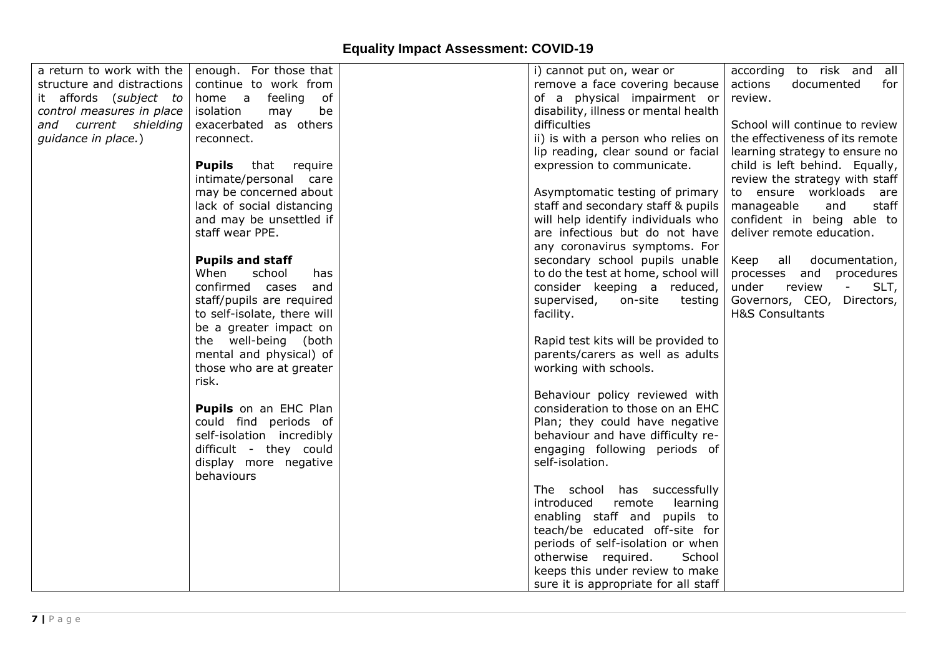| a return to work with the  | enough. For those that       | i) cannot put on, wear or            | according to risk and all                                           |
|----------------------------|------------------------------|--------------------------------------|---------------------------------------------------------------------|
| structure and distractions |                              |                                      | actions<br>documented                                               |
|                            | continue to work from        | remove a face covering because       | for                                                                 |
| it affords (subject to     | home a<br>feeling<br>of      | of a physical impairment or          | review.                                                             |
| control measures in place  | isolation<br>be<br>may       | disability, illness or mental health |                                                                     |
| and current shielding      | exacerbated as others        | difficulties                         | School will continue to review                                      |
| guidance in place.)        | reconnect.                   | ii) is with a person who relies on   | the effectiveness of its remote                                     |
|                            |                              | lip reading, clear sound or facial   | learning strategy to ensure no                                      |
|                            | <b>Pupils</b> that require   | expression to communicate.           | child is left behind. Equally,                                      |
|                            | intimate/personal care       |                                      | review the strategy with staff                                      |
|                            | may be concerned about       | Asymptomatic testing of primary      | to ensure workloads are                                             |
|                            | lack of social distancing    | staff and secondary staff & pupils   | manageable<br>staff<br>and                                          |
|                            | and may be unsettled if      | will help identify individuals who   | confident in being able to                                          |
|                            | staff wear PPE.              | are infectious but do not have       | deliver remote education.                                           |
|                            |                              | any coronavirus symptoms. For        |                                                                     |
|                            | <b>Pupils and staff</b>      | secondary school pupils unable       | Keep all documentation,                                             |
|                            | When<br>school<br>has.       | to do the test at home, school will  | processes and<br>procedures                                         |
|                            | confirmed cases<br>and       | consider keeping a reduced,          | under<br>review<br>$\frac{1}{2} \left( \frac{1}{2} \right)$<br>SLT, |
|                            | staff/pupils are required    | supervised,<br>on-site<br>testing    | Governors, CEO, Directors,                                          |
|                            | to self-isolate, there will  | facility.                            | <b>H&amp;S Consultants</b>                                          |
|                            |                              |                                      |                                                                     |
|                            | be a greater impact on       |                                      |                                                                     |
|                            | the well-being (both         | Rapid test kits will be provided to  |                                                                     |
|                            | mental and physical) of      | parents/carers as well as adults     |                                                                     |
|                            | those who are at greater     | working with schools.                |                                                                     |
|                            | risk.                        |                                      |                                                                     |
|                            |                              | Behaviour policy reviewed with       |                                                                     |
|                            | <b>Pupils</b> on an EHC Plan | consideration to those on an EHC     |                                                                     |
|                            | could find periods of        | Plan; they could have negative       |                                                                     |
|                            | self-isolation incredibly    | behaviour and have difficulty re-    |                                                                     |
|                            | difficult - they could       | engaging following periods of        |                                                                     |
|                            | display more negative        | self-isolation.                      |                                                                     |
|                            | behaviours                   |                                      |                                                                     |
|                            |                              | The school has successfully          |                                                                     |
|                            |                              | introduced<br>remote<br>learning     |                                                                     |
|                            |                              | enabling staff and pupils to         |                                                                     |
|                            |                              | teach/be educated off-site for       |                                                                     |
|                            |                              | periods of self-isolation or when    |                                                                     |
|                            |                              | otherwise required.<br>School        |                                                                     |
|                            |                              | keeps this under review to make      |                                                                     |
|                            |                              | sure it is appropriate for all staff |                                                                     |
|                            |                              |                                      |                                                                     |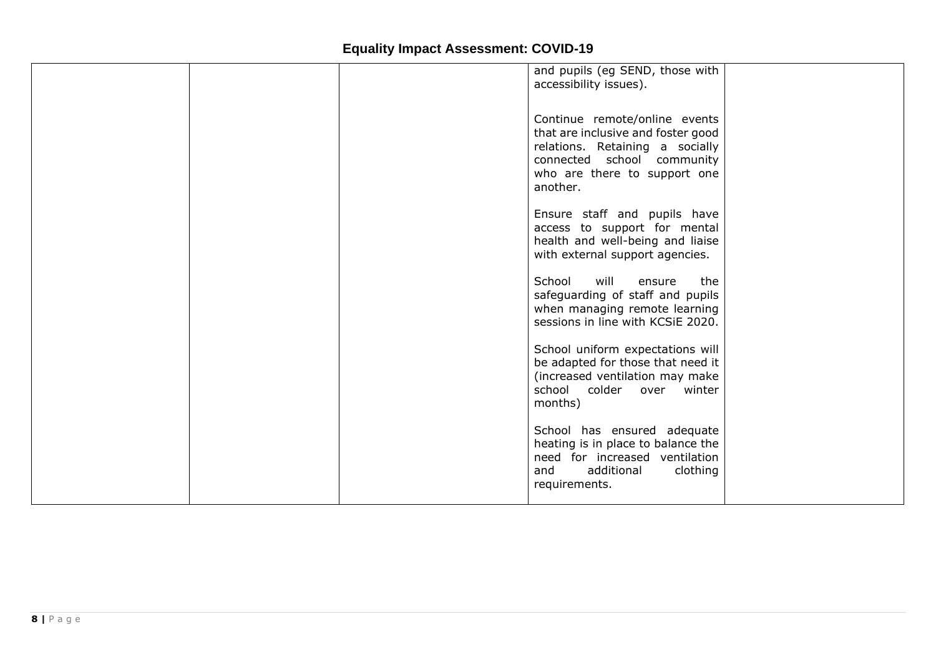|  | and pupils (eg SEND, those with<br>accessibility issues).                                                                                                                        |  |
|--|----------------------------------------------------------------------------------------------------------------------------------------------------------------------------------|--|
|  | Continue remote/online events<br>that are inclusive and foster good<br>relations. Retaining a socially<br>connected school community<br>who are there to support one<br>another. |  |
|  | Ensure staff and pupils have<br>access to support for mental<br>health and well-being and liaise<br>with external support agencies.                                              |  |
|  | School<br>will<br>the<br>ensure<br>safeguarding of staff and pupils<br>when managing remote learning<br>sessions in line with KCSiE 2020.                                        |  |
|  | School uniform expectations will<br>be adapted for those that need it<br>(increased ventilation may make<br>school colder over winter<br>months)                                 |  |
|  | School has ensured adequate<br>heating is in place to balance the<br>need for increased ventilation<br>additional<br>clothing<br>and<br>requirements.                            |  |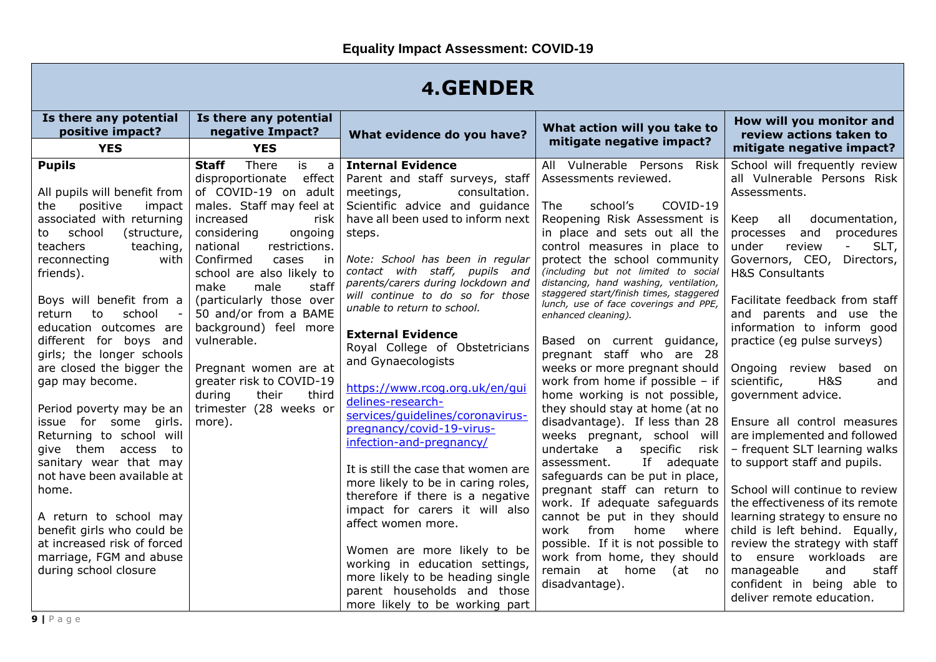### **4.GENDER**

| Is there any potential<br>positive impact?<br><b>YES</b>                                                                                                                                                                                                                                                                                                                                                                                                                                                                                                                                                                                                                                                        | Is there any potential<br>negative Impact?<br><b>YES</b>                                                                                                                                                                                                                                                                                                                                                                                                                                           | What evidence do you have?                                                                                                                                                                                                                                                                                                                                                                                                                                                                                                                                                                                                                                                                                                                                                                                                                                                                                                                       | What action will you take to<br>mitigate negative impact?                                                                                                                                                                                                                                                                                                                                                                                                                                                                                                                                                                                                                                                                                                                                                                                                                                                                                                                                                                                            | How will you monitor and<br>review actions taken to<br>mitigate negative impact?                                                                                                                                                                                                                                                                                                                                                                                                                                                                                                                                                                                                                                                                                                                                                                                                 |
|-----------------------------------------------------------------------------------------------------------------------------------------------------------------------------------------------------------------------------------------------------------------------------------------------------------------------------------------------------------------------------------------------------------------------------------------------------------------------------------------------------------------------------------------------------------------------------------------------------------------------------------------------------------------------------------------------------------------|----------------------------------------------------------------------------------------------------------------------------------------------------------------------------------------------------------------------------------------------------------------------------------------------------------------------------------------------------------------------------------------------------------------------------------------------------------------------------------------------------|--------------------------------------------------------------------------------------------------------------------------------------------------------------------------------------------------------------------------------------------------------------------------------------------------------------------------------------------------------------------------------------------------------------------------------------------------------------------------------------------------------------------------------------------------------------------------------------------------------------------------------------------------------------------------------------------------------------------------------------------------------------------------------------------------------------------------------------------------------------------------------------------------------------------------------------------------|------------------------------------------------------------------------------------------------------------------------------------------------------------------------------------------------------------------------------------------------------------------------------------------------------------------------------------------------------------------------------------------------------------------------------------------------------------------------------------------------------------------------------------------------------------------------------------------------------------------------------------------------------------------------------------------------------------------------------------------------------------------------------------------------------------------------------------------------------------------------------------------------------------------------------------------------------------------------------------------------------------------------------------------------------|----------------------------------------------------------------------------------------------------------------------------------------------------------------------------------------------------------------------------------------------------------------------------------------------------------------------------------------------------------------------------------------------------------------------------------------------------------------------------------------------------------------------------------------------------------------------------------------------------------------------------------------------------------------------------------------------------------------------------------------------------------------------------------------------------------------------------------------------------------------------------------|
| <b>Pupils</b><br>All pupils will benefit from<br>positive<br>the<br>impact<br>associated with returning<br>school<br>(structure,<br>to<br>teachers<br>teaching,<br>reconnecting<br>with<br>friends).<br>Boys will benefit from a<br>school<br>return<br>to<br>education outcomes are<br>different for boys and<br>girls; the longer schools<br>are closed the bigger the<br>gap may become.<br>Period poverty may be an<br>issue for some girls.<br>Returning to school will<br>give them access to<br>sanitary wear that may<br>not have been available at<br>home.<br>A return to school may<br>benefit girls who could be<br>at increased risk of forced<br>marriage, FGM and abuse<br>during school closure | <b>Staff</b><br>There<br>is<br>a<br>effect<br>disproportionate<br>of COVID-19 on adult<br>males. Staff may feel at<br>increased<br>risk<br>considering<br>ongoing<br>national<br>restrictions.<br>Confirmed<br>cases<br>in<br>school are also likely to<br>staff<br>make<br>male<br>(particularly those over<br>50 and/or from a BAME<br>background) feel more<br>vulnerable.<br>Pregnant women are at<br>greater risk to COVID-19<br>during<br>their<br>third<br>trimester (28 weeks or<br>more). | <b>Internal Evidence</b><br>Parent and staff surveys, staff<br>meetings,<br>consultation.<br>Scientific advice and guidance<br>have all been used to inform next<br>steps.<br>Note: School has been in regular<br>contact with staff, pupils and<br>parents/carers during lockdown and<br>will continue to do so for those<br>unable to return to school.<br><b>External Evidence</b><br>Royal College of Obstetricians<br>and Gynaecologists<br>https://www.rcog.org.uk/en/gui<br>delines-research-<br>services/quidelines/coronavirus-<br>pregnancy/covid-19-virus-<br>infection-and-pregnancy/<br>It is still the case that women are<br>more likely to be in caring roles,<br>therefore if there is a negative<br>impact for carers it will also<br>affect women more.<br>Women are more likely to be<br>working in education settings,<br>more likely to be heading single<br>parent households and those<br>more likely to be working part | All Vulnerable Persons Risk<br>Assessments reviewed.<br>school's<br>COVID-19<br><b>The</b><br>Reopening Risk Assessment is<br>in place and sets out all the<br>control measures in place to<br>protect the school community<br>(including but not limited to social<br>distancing, hand washing, ventilation,<br>staggered start/finish times, staggered<br>lunch, use of face coverings and PPE,<br>enhanced cleaning).<br>Based on current guidance,<br>pregnant staff who are 28<br>weeks or more pregnant should<br>work from home if possible - if<br>home working is not possible,<br>they should stay at home (at no<br>disadvantage). If less than 28<br>weeks pregnant, school will<br>undertake a<br>specific<br>risk<br>If adequate<br>assessment.<br>safeguards can be put in place,<br>pregnant staff can return to<br>work. If adequate safeguards<br>cannot be put in they should<br>work<br>from<br>home<br>where<br>possible. If it is not possible to<br>work from home, they should<br>remain at home<br>(at no<br>disadvantage). | School will frequently review<br>all Vulnerable Persons Risk<br>Assessments.<br>all<br>documentation,<br>Keep<br>and<br>procedures<br>processes<br>SLT,<br>under<br>review<br>Governors, CEO, Directors,<br><b>H&amp;S Consultants</b><br>Facilitate feedback from staff<br>and parents and use the<br>information to inform good<br>practice (eg pulse surveys)<br>Ongoing review based on<br>H&S<br>scientific,<br>and<br>government advice.<br>Ensure all control measures<br>are implemented and followed<br>- frequent SLT learning walks<br>to support staff and pupils.<br>School will continue to review<br>the effectiveness of its remote<br>learning strategy to ensure no<br>child is left behind. Equally,<br>review the strategy with staff<br>to ensure workloads<br>are<br>staff<br>manageable<br>and<br>confident in being able to<br>deliver remote education. |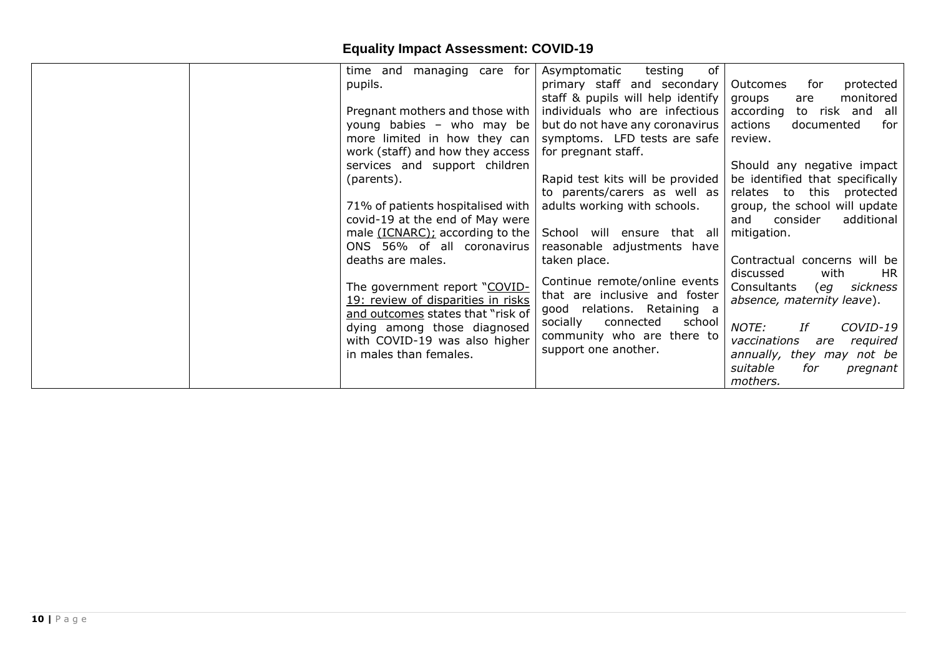|  | managing care for<br>time and                                           | of<br>Asymptomatic<br>testing                                 |                                                            |
|--|-------------------------------------------------------------------------|---------------------------------------------------------------|------------------------------------------------------------|
|  | pupils.                                                                 | primary staff and secondary                                   | protected<br>Outcomes<br>for                               |
|  |                                                                         | staff & pupils will help identify                             | monitored<br>groups<br>are                                 |
|  | Pregnant mothers and those with                                         | individuals who are infectious                                | according<br>to risk and all                               |
|  | young babies - who may be                                               | but do not have any coronavirus                               | actions<br>documented<br>for                               |
|  | more limited in how they can                                            | symptoms. LFD tests are safe                                  | review.                                                    |
|  | work (staff) and how they access                                        | for pregnant staff.                                           |                                                            |
|  | services and support children                                           |                                                               | Should any negative impact                                 |
|  | (parents).                                                              | Rapid test kits will be provided                              | be identified that specifically                            |
|  |                                                                         | to parents/carers as well as                                  | relates to this protected                                  |
|  | 71% of patients hospitalised with                                       | adults working with schools.                                  | group, the school will update                              |
|  | covid-19 at the end of May were                                         |                                                               | and<br>additional<br>consider                              |
|  | male (ICNARC); according to the                                         | School will ensure that all                                   | mitigation.                                                |
|  | ONS 56% of all coronavirus                                              | reasonable adjustments have                                   |                                                            |
|  | deaths are males.                                                       | taken place.                                                  | Contractual concerns will be                               |
|  | The government report "COVID-                                           | Continue remote/online events                                 | with<br>discussed<br>HR.<br>Consultants<br>sickness<br>eg) |
|  | 19: review of disparities in risks<br>and outcomes states that "risk of | that are inclusive and foster<br>good relations. Retaining a  | absence, maternity leave).                                 |
|  | dying among those diagnosed                                             | socially<br>connected<br>school<br>community who are there to | NOTE:<br>COVID-19<br>Ιf                                    |
|  | with COVID-19 was also higher                                           | support one another.                                          | vaccinations<br>required<br>are                            |
|  | in males than females.                                                  |                                                               | annually, they may not be                                  |
|  |                                                                         |                                                               | suitable<br>for<br>pregnant                                |
|  |                                                                         |                                                               | mothers.                                                   |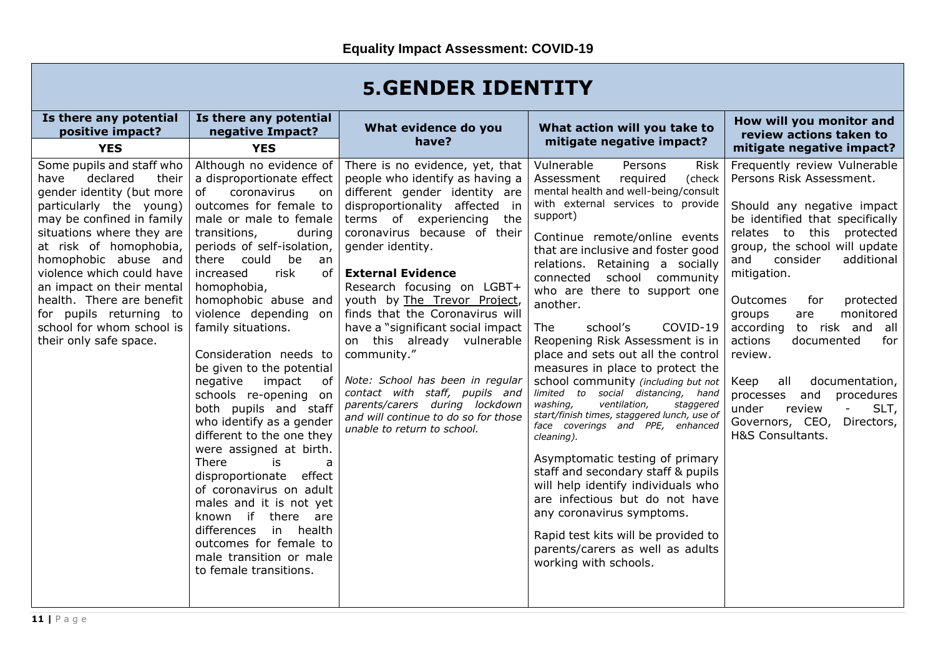| Is there any potential<br>positive impact?<br><b>YES</b>                                                                                                                                                                                                                                                                                                                                            | Is there any potential<br>negative Impact?<br><b>YES</b>                                                                                                                                                                                                                                                                                                                                                                                                                                                                                                                                                                                                                                                                                                                                                      | What evidence do you<br>have?                                                                                                                                                                                                                                                                                                                                                                                                                                                                                                                                                                                        | What action will you take to<br>mitigate negative impact?                                                                                                                                                                                                                                                                                                                                                                                                                                                                                                                                                                                                                                                                                                                                                                                                                                                                                                                                                  | How will you monitor and<br>review actions taken to<br>mitigate negative impact?                                                                                                                                                                                                                                                                                                                                                                                                                                                                                   |
|-----------------------------------------------------------------------------------------------------------------------------------------------------------------------------------------------------------------------------------------------------------------------------------------------------------------------------------------------------------------------------------------------------|---------------------------------------------------------------------------------------------------------------------------------------------------------------------------------------------------------------------------------------------------------------------------------------------------------------------------------------------------------------------------------------------------------------------------------------------------------------------------------------------------------------------------------------------------------------------------------------------------------------------------------------------------------------------------------------------------------------------------------------------------------------------------------------------------------------|----------------------------------------------------------------------------------------------------------------------------------------------------------------------------------------------------------------------------------------------------------------------------------------------------------------------------------------------------------------------------------------------------------------------------------------------------------------------------------------------------------------------------------------------------------------------------------------------------------------------|------------------------------------------------------------------------------------------------------------------------------------------------------------------------------------------------------------------------------------------------------------------------------------------------------------------------------------------------------------------------------------------------------------------------------------------------------------------------------------------------------------------------------------------------------------------------------------------------------------------------------------------------------------------------------------------------------------------------------------------------------------------------------------------------------------------------------------------------------------------------------------------------------------------------------------------------------------------------------------------------------------|--------------------------------------------------------------------------------------------------------------------------------------------------------------------------------------------------------------------------------------------------------------------------------------------------------------------------------------------------------------------------------------------------------------------------------------------------------------------------------------------------------------------------------------------------------------------|
| Some pupils and staff who<br>declared<br>have<br>their<br>gender identity (but more<br>particularly the young)<br>may be confined in family<br>situations where they are<br>at risk of homophobia,<br>homophobic abuse and<br>violence which could have<br>an impact on their mental<br>health. There are benefit<br>for pupils returning to<br>school for whom school is<br>their only safe space. | Although no evidence of<br>a disproportionate effect<br>coronavirus<br>of<br>on.<br>outcomes for female to<br>male or male to female<br>transitions,<br>during<br>periods of self-isolation,<br>there could<br>be<br>an<br>risk<br>increased<br>of<br>homophobia,<br>homophobic abuse and<br>violence depending on<br>family situations.<br>Consideration needs to<br>be given to the potential<br>negative<br>impact<br>0f<br>schools re-opening on<br>both pupils and staff<br>who identify as a gender<br>different to the one they<br>were assigned at birth.<br>There<br>is<br>a<br>disproportionate<br>effect<br>of coronavirus on adult<br>males and it is not yet<br>known if there<br>are<br>in health<br>differences<br>outcomes for female to<br>male transition or male<br>to female transitions. | There is no evidence, yet, that<br>people who identify as having a<br>different gender identity are<br>disproportionality affected in<br>terms of experiencing the<br>coronavirus because of their<br>gender identity.<br><b>External Evidence</b><br>Research focusing on LGBT+<br>youth by The Trevor Project,<br>finds that the Coronavirus will<br>have a "significant social impact<br>on this already vulnerable<br>community."<br>Note: School has been in regular<br>contact with staff, pupils and<br>parents/carers during lockdown<br>and will continue to do so for those<br>unable to return to school. | Vulnerable<br>Persons<br><b>Risk</b><br>Assessment<br>required<br>(check<br>mental health and well-being/consult<br>with external services to provide<br>support)<br>Continue remote/online events<br>that are inclusive and foster good<br>relations. Retaining a socially<br>connected school community<br>who are there to support one<br>another.<br>The<br>school's<br>COVID-19<br>Reopening Risk Assessment is in<br>place and sets out all the control<br>measures in place to protect the<br>school community (including but not<br>limited to social distancing, hand<br>washing,<br>ventilation,<br>staggered<br>start/finish times, staggered lunch, use of<br>face coverings and PPE, enhanced<br>cleaning).<br>Asymptomatic testing of primary<br>staff and secondary staff & pupils<br>will help identify individuals who<br>are infectious but do not have<br>any coronavirus symptoms.<br>Rapid test kits will be provided to<br>parents/carers as well as adults<br>working with schools. | Frequently review Vulnerable<br>Persons Risk Assessment.<br>Should any negative impact<br>be identified that specifically<br>this<br>relates to<br>protected<br>group, the school will update<br>consider<br>additional<br>and<br>mitigation.<br>Outcomes<br>for<br>protected<br>monitored<br>groups<br>are<br>according<br>to risk and all<br>actions<br>documented<br>for<br>review.<br>all<br>documentation,<br>Keep<br>procedures<br>processes and<br>under<br>SLT,<br>review<br>$\overline{\phantom{a}}$<br>Governors, CEO,<br>Directors,<br>H&S Consultants. |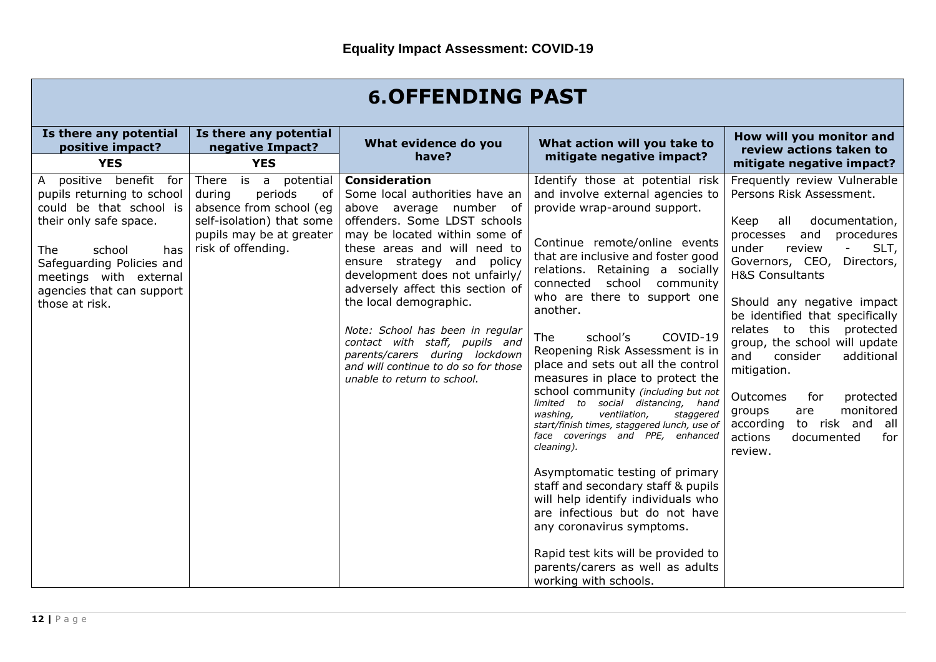| <b>6.OFFENDING PAST</b>                                                                                                                                                                                                                               |                                                                                                                                                              |                                                                                                                                                                                                                                                                                                                                                                                                                                                                                                 |                                                                                                                                                                                                                                                                                                                                                                                                                                                                                                                                                                                                                                                                                                                                                                                                                                                                                                                                                      |                                                                                                                                                                                                                                                                                                                                                                                                                                                                                                                                                                              |  |
|-------------------------------------------------------------------------------------------------------------------------------------------------------------------------------------------------------------------------------------------------------|--------------------------------------------------------------------------------------------------------------------------------------------------------------|-------------------------------------------------------------------------------------------------------------------------------------------------------------------------------------------------------------------------------------------------------------------------------------------------------------------------------------------------------------------------------------------------------------------------------------------------------------------------------------------------|------------------------------------------------------------------------------------------------------------------------------------------------------------------------------------------------------------------------------------------------------------------------------------------------------------------------------------------------------------------------------------------------------------------------------------------------------------------------------------------------------------------------------------------------------------------------------------------------------------------------------------------------------------------------------------------------------------------------------------------------------------------------------------------------------------------------------------------------------------------------------------------------------------------------------------------------------|------------------------------------------------------------------------------------------------------------------------------------------------------------------------------------------------------------------------------------------------------------------------------------------------------------------------------------------------------------------------------------------------------------------------------------------------------------------------------------------------------------------------------------------------------------------------------|--|
| Is there any potential<br>positive impact?<br><b>YES</b>                                                                                                                                                                                              | Is there any potential<br>negative Impact?<br><b>YES</b>                                                                                                     | What evidence do you<br>have?                                                                                                                                                                                                                                                                                                                                                                                                                                                                   | What action will you take to<br>mitigate negative impact?                                                                                                                                                                                                                                                                                                                                                                                                                                                                                                                                                                                                                                                                                                                                                                                                                                                                                            | How will you monitor and<br>review actions taken to<br>mitigate negative impact?                                                                                                                                                                                                                                                                                                                                                                                                                                                                                             |  |
| positive benefit for<br>$\mathsf{A}$<br>pupils returning to school<br>could be that school is<br>their only safe space.<br>The<br>school<br>has<br>Safeguarding Policies and<br>meetings with external<br>agencies that can support<br>those at risk. | is a potential<br>There<br>during<br>periods<br>оf<br>absence from school (eq<br>self-isolation) that some<br>pupils may be at greater<br>risk of offending. | <b>Consideration</b><br>Some local authorities have an<br>above average number of<br>offenders. Some LDST schools<br>may be located within some of<br>these areas and will need to<br>ensure strategy and policy<br>development does not unfairly/<br>adversely affect this section of<br>the local demographic.<br>Note: School has been in regular<br>contact with staff, pupils and<br>parents/carers during lockdown<br>and will continue to do so for those<br>unable to return to school. | Identify those at potential risk<br>and involve external agencies to<br>provide wrap-around support.<br>Continue remote/online events<br>that are inclusive and foster good<br>relations. Retaining a socially<br>connected school community<br>who are there to support one<br>another.<br>COVID-19<br>school's<br><b>The</b><br>Reopening Risk Assessment is in<br>place and sets out all the control<br>measures in place to protect the<br>school community (including but not<br>limited to social distancing, hand<br>washing,<br>ventilation,<br>staggered<br>start/finish times, staggered lunch, use of<br>face coverings and PPE, enhanced<br>cleaning).<br>Asymptomatic testing of primary<br>staff and secondary staff & pupils<br>will help identify individuals who<br>are infectious but do not have<br>any coronavirus symptoms.<br>Rapid test kits will be provided to<br>parents/carers as well as adults<br>working with schools. | Frequently review Vulnerable<br>Persons Risk Assessment.<br>documentation,<br>Keep<br>all<br>processes and<br>procedures<br>under<br>SLT,<br>review<br>$\overline{\phantom{a}}$<br>Governors, CEO,<br>Directors,<br><b>H&amp;S Consultants</b><br>Should any negative impact<br>be identified that specifically<br>relates to<br>this<br>protected<br>group, the school will update<br>consider<br>and<br>additional<br>mitigation.<br>Outcomes<br>for<br>protected<br>monitored<br>groups<br>are<br>to risk and all<br>according<br>actions<br>documented<br>for<br>review. |  |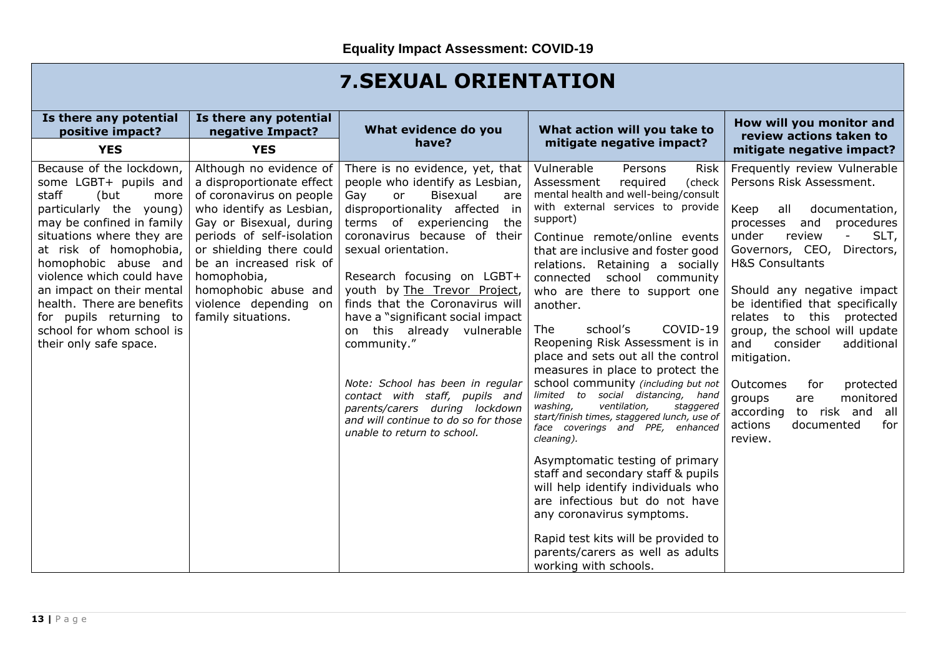### **7.SEXUAL ORIENTATION**

| Is there any potential<br>positive impact?                                                                                                                                                                                                                                                                                                                                                  | Is there any potential<br>negative Impact?                                                                                                                                                                                                                                                                        | What evidence do you                                                                                                                                                                                                                                                                                                                                                                                                                                                                                                                                                                          | What action will you take to                                                                                                                                                                                                                                                                                                                                                                                                                                                                                                                                                                                                                                                                                                                                                                                                                                                                                                                                                                                  | How will you monitor and<br>review actions taken to                                                                                                                                                                                                                                                                                                                                                                                                                                                                                                 |
|---------------------------------------------------------------------------------------------------------------------------------------------------------------------------------------------------------------------------------------------------------------------------------------------------------------------------------------------------------------------------------------------|-------------------------------------------------------------------------------------------------------------------------------------------------------------------------------------------------------------------------------------------------------------------------------------------------------------------|-----------------------------------------------------------------------------------------------------------------------------------------------------------------------------------------------------------------------------------------------------------------------------------------------------------------------------------------------------------------------------------------------------------------------------------------------------------------------------------------------------------------------------------------------------------------------------------------------|---------------------------------------------------------------------------------------------------------------------------------------------------------------------------------------------------------------------------------------------------------------------------------------------------------------------------------------------------------------------------------------------------------------------------------------------------------------------------------------------------------------------------------------------------------------------------------------------------------------------------------------------------------------------------------------------------------------------------------------------------------------------------------------------------------------------------------------------------------------------------------------------------------------------------------------------------------------------------------------------------------------|-----------------------------------------------------------------------------------------------------------------------------------------------------------------------------------------------------------------------------------------------------------------------------------------------------------------------------------------------------------------------------------------------------------------------------------------------------------------------------------------------------------------------------------------------------|
| <b>YES</b>                                                                                                                                                                                                                                                                                                                                                                                  | <b>YES</b>                                                                                                                                                                                                                                                                                                        | have?                                                                                                                                                                                                                                                                                                                                                                                                                                                                                                                                                                                         | mitigate negative impact?                                                                                                                                                                                                                                                                                                                                                                                                                                                                                                                                                                                                                                                                                                                                                                                                                                                                                                                                                                                     | mitigate negative impact?                                                                                                                                                                                                                                                                                                                                                                                                                                                                                                                           |
| Because of the lockdown,<br>some LGBT+ pupils and<br>staff<br>(but<br>more<br>particularly the young)<br>may be confined in family<br>situations where they are<br>at risk of homophobia,<br>homophobic abuse and<br>violence which could have<br>an impact on their mental<br>health. There are benefits<br>for pupils returning to<br>school for whom school is<br>their only safe space. | Although no evidence of<br>a disproportionate effect<br>of coronavirus on people<br>who identify as Lesbian,<br>Gay or Bisexual, during<br>periods of self-isolation<br>or shielding there could<br>be an increased risk of<br>homophobia,<br>homophobic abuse and<br>violence depending on<br>family situations. | There is no evidence, yet, that<br>people who identify as Lesbian,<br>Bisexual<br>Gay<br>or<br>are<br>disproportionality affected in<br>terms of experiencing<br>the<br>coronavirus because of their<br>sexual orientation.<br>Research focusing on LGBT+<br>youth by The Trevor Project,<br>finds that the Coronavirus will<br>have a "significant social impact<br>on this already vulnerable<br>community."<br>Note: School has been in regular<br>contact with staff, pupils and<br>parents/carers during lockdown<br>and will continue to do so for those<br>unable to return to school. | Vulnerable<br>Persons<br><b>Risk</b><br>Assessment<br>required<br>(check<br>mental health and well-being/consult<br>with external services to provide<br>support)<br>Continue remote/online events<br>that are inclusive and foster good<br>relations. Retaining a socially<br>school community<br>connected<br>who are there to support one<br>another.<br>school's<br>COVID-19<br>The<br>Reopening Risk Assessment is in<br>place and sets out all the control<br>measures in place to protect the<br>school community (including but not<br>limited to social distancing, hand<br>washing,<br>ventilation.<br>staggered<br>start/finish times, staggered lunch, use of<br>face coverings and PPE, enhanced<br>cleaning).<br>Asymptomatic testing of primary<br>staff and secondary staff & pupils<br>will help identify individuals who<br>are infectious but do not have<br>any coronavirus symptoms.<br>Rapid test kits will be provided to<br>parents/carers as well as adults<br>working with schools. | Frequently review Vulnerable<br>Persons Risk Assessment.<br>Keep<br>all<br>documentation,<br>and<br>procedures<br>processes<br>review<br>SLT,<br>under<br>Governors, CEO,<br>Directors,<br><b>H&amp;S Consultants</b><br>Should any negative impact<br>be identified that specifically<br>relates to<br>this<br>protected<br>group, the school will update<br>and<br>consider<br>additional<br>mitigation.<br>Outcomes<br>for<br>protected<br>monitored<br>groups<br>are<br>to risk and all<br>according<br>actions<br>documented<br>for<br>review. |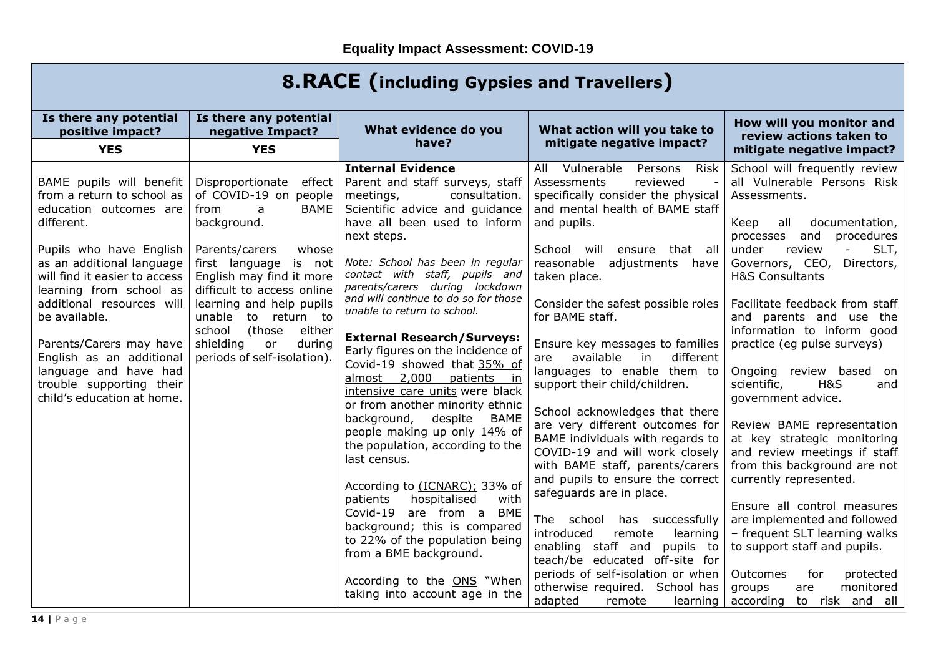| <b>8. RACE (including Gypsies and Travellers)</b>                                                                                                                                                                                                                                                                                                                                                          |                                                                                                                                                                                                                                                                                                                                                        |                                                                                                                                                                                                                                                                                                                                                                                                                                                                                                                                                                                                                                                                                                                                                                                                                                                                                                                                                                  |                                                                                                                                                                                                                                                                                                                                                                                                                                                                                                                                                                                                                                                                                                                                                                                                                                                                                                                                                     |                                                                                                                                                                                                                                                                                                                                                                                                                                                                                                                                                                                                                                                                                                                                                                                                                                                |  |
|------------------------------------------------------------------------------------------------------------------------------------------------------------------------------------------------------------------------------------------------------------------------------------------------------------------------------------------------------------------------------------------------------------|--------------------------------------------------------------------------------------------------------------------------------------------------------------------------------------------------------------------------------------------------------------------------------------------------------------------------------------------------------|------------------------------------------------------------------------------------------------------------------------------------------------------------------------------------------------------------------------------------------------------------------------------------------------------------------------------------------------------------------------------------------------------------------------------------------------------------------------------------------------------------------------------------------------------------------------------------------------------------------------------------------------------------------------------------------------------------------------------------------------------------------------------------------------------------------------------------------------------------------------------------------------------------------------------------------------------------------|-----------------------------------------------------------------------------------------------------------------------------------------------------------------------------------------------------------------------------------------------------------------------------------------------------------------------------------------------------------------------------------------------------------------------------------------------------------------------------------------------------------------------------------------------------------------------------------------------------------------------------------------------------------------------------------------------------------------------------------------------------------------------------------------------------------------------------------------------------------------------------------------------------------------------------------------------------|------------------------------------------------------------------------------------------------------------------------------------------------------------------------------------------------------------------------------------------------------------------------------------------------------------------------------------------------------------------------------------------------------------------------------------------------------------------------------------------------------------------------------------------------------------------------------------------------------------------------------------------------------------------------------------------------------------------------------------------------------------------------------------------------------------------------------------------------|--|
| Is there any potential<br>positive impact?                                                                                                                                                                                                                                                                                                                                                                 | Is there any potential<br>negative Impact?                                                                                                                                                                                                                                                                                                             | What evidence do you<br>have?                                                                                                                                                                                                                                                                                                                                                                                                                                                                                                                                                                                                                                                                                                                                                                                                                                                                                                                                    | What action will you take to<br>mitigate negative impact?                                                                                                                                                                                                                                                                                                                                                                                                                                                                                                                                                                                                                                                                                                                                                                                                                                                                                           | How will you monitor and<br>review actions taken to                                                                                                                                                                                                                                                                                                                                                                                                                                                                                                                                                                                                                                                                                                                                                                                            |  |
| <b>YES</b>                                                                                                                                                                                                                                                                                                                                                                                                 | <b>YES</b>                                                                                                                                                                                                                                                                                                                                             |                                                                                                                                                                                                                                                                                                                                                                                                                                                                                                                                                                                                                                                                                                                                                                                                                                                                                                                                                                  |                                                                                                                                                                                                                                                                                                                                                                                                                                                                                                                                                                                                                                                                                                                                                                                                                                                                                                                                                     | mitigate negative impact?                                                                                                                                                                                                                                                                                                                                                                                                                                                                                                                                                                                                                                                                                                                                                                                                                      |  |
| BAME pupils will benefit<br>from a return to school as<br>education outcomes are<br>different.<br>Pupils who have English<br>as an additional language<br>will find it easier to access<br>learning from school as<br>additional resources will<br>be available.<br>Parents/Carers may have<br>English as an additional<br>language and have had<br>trouble supporting their<br>child's education at home. | Disproportionate effect<br>of COVID-19 on people<br><b>BAME</b><br>from<br>a<br>background.<br>Parents/carers<br>whose<br>first language is not<br>English may find it more<br>difficult to access online<br>learning and help pupils<br>unable to return to<br>school<br>either<br>(those<br>shielding<br>during<br>or<br>periods of self-isolation). | <b>Internal Evidence</b><br>Parent and staff surveys, staff<br>meetings,<br>consultation.<br>Scientific advice and guidance<br>have all been used to inform<br>next steps.<br>Note: School has been in regular<br>contact with staff, pupils and<br>parents/carers during lockdown<br>and will continue to do so for those<br>unable to return to school.<br><b>External Research/Surveys:</b><br>Early figures on the incidence of<br>Covid-19 showed that 35% of<br>almost 2,000<br>patients in<br>intensive care units were black<br>or from another minority ethnic<br>background,<br>despite<br><b>BAME</b><br>people making up only 14% of<br>the population, according to the<br>last census.<br>According to (ICNARC); 33% of<br>hospitalised<br>patients<br>with<br>Covid-19 are from a BME<br>background; this is compared<br>to 22% of the population being<br>from a BME background.<br>According to the ONS "When<br>taking into account age in the | All Vulnerable<br>Persons<br><b>Risk</b><br>Assessments<br>reviewed<br>specifically consider the physical<br>and mental health of BAME staff<br>and pupils.<br>School will<br>ensure that all<br>reasonable<br>adjustments<br>have<br>taken place.<br>Consider the safest possible roles<br>for BAME staff.<br>Ensure key messages to families<br>available<br>different<br>in<br>are<br>languages to enable them to<br>support their child/children.<br>School acknowledges that there<br>are very different outcomes for<br>BAME individuals with regards to<br>COVID-19 and will work closely<br>with BAME staff, parents/carers<br>and pupils to ensure the correct<br>safeguards are in place.<br>The school has successfully<br>introduced<br>remote<br>learning<br>enabling staff and<br>pupils to<br>teach/be educated off-site for<br>periods of self-isolation or when<br>otherwise required. School has<br>adapted<br>remote<br>learning | School will frequently review<br>all Vulnerable Persons Risk<br>Assessments.<br>documentation,<br>Keep<br>all<br>and<br>procedures<br>processes<br>under<br>review<br>SLT,<br>Governors, CEO,<br>Directors,<br><b>H&amp;S Consultants</b><br>Facilitate feedback from staff<br>and parents and use the<br>information to inform good<br>practice (eg pulse surveys)<br>Ongoing review based on<br>scientific,<br><b>H&amp;S</b><br>and<br>government advice.<br>Review BAME representation<br>at key strategic monitoring<br>and review meetings if staff<br>from this background are not<br>currently represented.<br>Ensure all control measures<br>are implemented and followed<br>- frequent SLT learning walks<br>to support staff and pupils.<br>Outcomes<br>for<br>protected<br>groups<br>monitored<br>are<br>according to risk and all |  |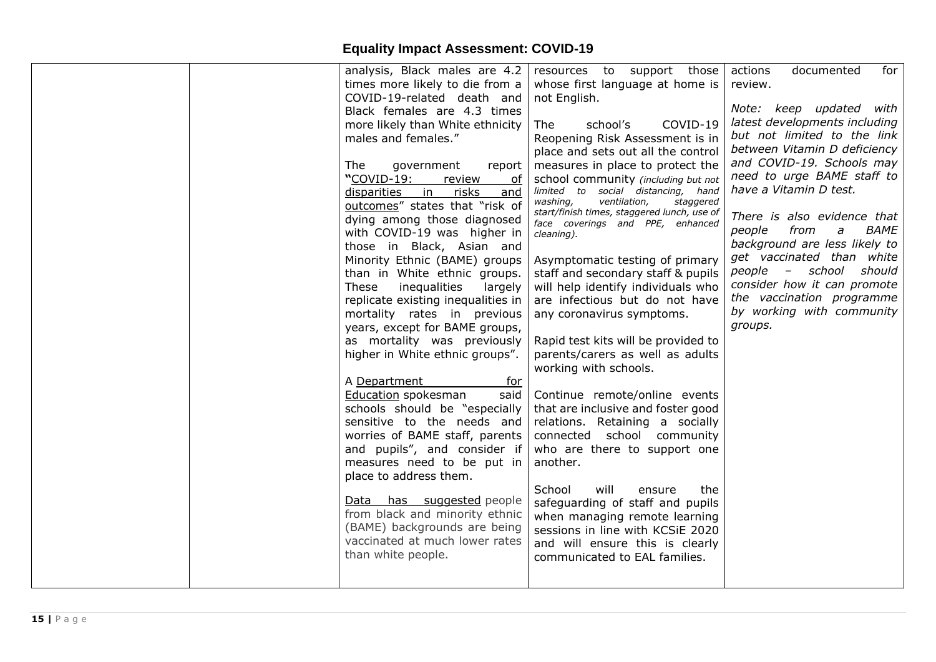|  | analysis, Black males are 4.2         | resources to support those                     | actions<br>documented<br>for                    |
|--|---------------------------------------|------------------------------------------------|-------------------------------------------------|
|  | times more likely to die from a       | whose first language at home is                | review.                                         |
|  | COVID-19-related death and            | not English.                                   |                                                 |
|  | Black females are 4.3 times           |                                                | Note: keep updated with                         |
|  | more likely than White ethnicity      | school's<br>COVID-19<br>The                    | latest developments including                   |
|  | males and females."                   | Reopening Risk Assessment is in                | but not limited to the link                     |
|  |                                       | place and sets out all the control             | between Vitamin D deficiency                    |
|  | The<br>government<br>report           | measures in place to protect the               | and COVID-19. Schools may                       |
|  | "COVID-19:<br>review<br>of            | school community (including but not            | need to urge BAME staff to                      |
|  | <u>risks</u><br>disparities in<br>and | limited to social distancing, hand             | have a Vitamin D test.                          |
|  | outcomes" states that "risk of        | washing,<br>ventilation,<br>staggered          |                                                 |
|  | dying among those diagnosed           | start/finish times, staggered lunch, use of    | There is also evidence that                     |
|  | with COVID-19 was higher in           | face coverings and PPE, enhanced<br>cleaning). | from<br><i>BAME</i><br>people<br>$\overline{a}$ |
|  | those in Black, Asian and             |                                                | background are less likely to                   |
|  | Minority Ethnic (BAME) groups         | Asymptomatic testing of primary                | get vaccinated than white                       |
|  | than in White ethnic groups.          | staff and secondary staff & pupils             | people - school should                          |
|  | inequalities<br>These<br>largely      | will help identify individuals who             | consider how it can promote                     |
|  | replicate existing inequalities in    | are infectious but do not have                 | the vaccination programme                       |
|  | mortality rates in previous           | any coronavirus symptoms.                      | by working with community                       |
|  | years, except for BAME groups,        |                                                | groups.                                         |
|  | as mortality was previously           | Rapid test kits will be provided to            |                                                 |
|  | higher in White ethnic groups".       | parents/carers as well as adults               |                                                 |
|  |                                       | working with schools.                          |                                                 |
|  | A Department<br>for                   |                                                |                                                 |
|  | Education spokesman<br>said           | Continue remote/online events                  |                                                 |
|  | schools should be "especially         | that are inclusive and foster good             |                                                 |
|  | sensitive to the needs and            | relations. Retaining a socially                |                                                 |
|  | worries of BAME staff, parents        | connected school community                     |                                                 |
|  | and pupils", and consider if          | who are there to support one                   |                                                 |
|  | measures need to be put in            | another.                                       |                                                 |
|  | place to address them.                |                                                |                                                 |
|  |                                       | will<br>School<br>the<br>ensure                |                                                 |
|  | Data has suggested people             | safeguarding of staff and pupils               |                                                 |
|  | from black and minority ethnic        | when managing remote learning                  |                                                 |
|  | (BAME) backgrounds are being          | sessions in line with KCSiE 2020               |                                                 |
|  | vaccinated at much lower rates        | and will ensure this is clearly                |                                                 |
|  | than white people.                    | communicated to EAL families.                  |                                                 |
|  |                                       |                                                |                                                 |
|  |                                       |                                                |                                                 |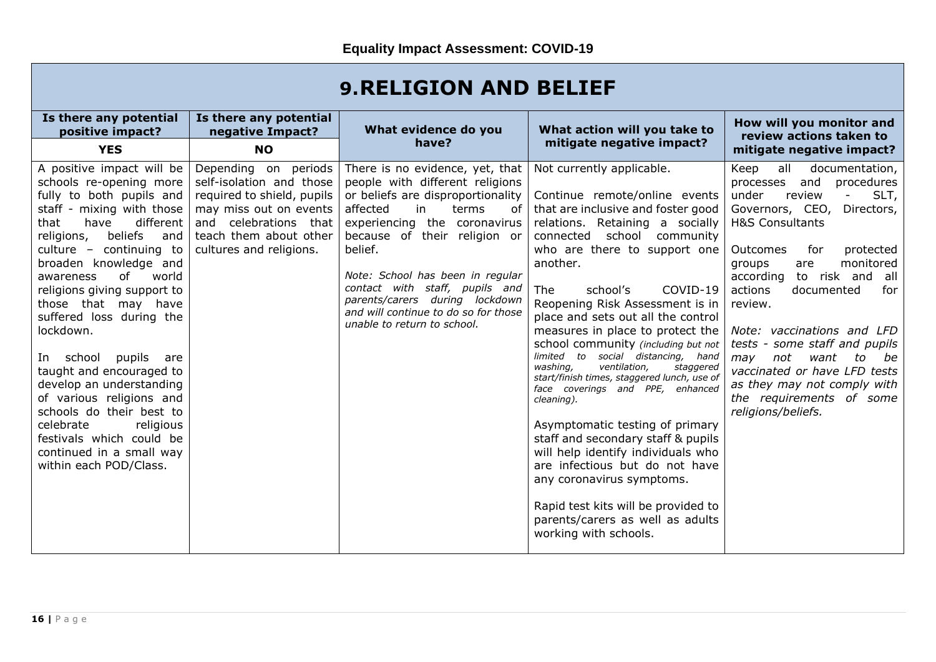| <b>9. RELIGION AND BELIEF</b> |  |
|-------------------------------|--|
|-------------------------------|--|

| Is there any potential                                                                                                                                                                                                                                                                                                                                                                                                                                                                                                                                                                                                              | Is there any potential                                                                                                                                                                              | What evidence do you                                                                                                                                                                                                                                                                                                                                                                               | What action will you take to                                                                                                                                                                                                                                                                                                                                                                                                                                                                                                                                                                                                                                                                                                                                                                                                                                              | How will you monitor and                                                                                                                                                                                                                                                                                                                                                                                                                                                                                                                                           |
|-------------------------------------------------------------------------------------------------------------------------------------------------------------------------------------------------------------------------------------------------------------------------------------------------------------------------------------------------------------------------------------------------------------------------------------------------------------------------------------------------------------------------------------------------------------------------------------------------------------------------------------|-----------------------------------------------------------------------------------------------------------------------------------------------------------------------------------------------------|----------------------------------------------------------------------------------------------------------------------------------------------------------------------------------------------------------------------------------------------------------------------------------------------------------------------------------------------------------------------------------------------------|---------------------------------------------------------------------------------------------------------------------------------------------------------------------------------------------------------------------------------------------------------------------------------------------------------------------------------------------------------------------------------------------------------------------------------------------------------------------------------------------------------------------------------------------------------------------------------------------------------------------------------------------------------------------------------------------------------------------------------------------------------------------------------------------------------------------------------------------------------------------------|--------------------------------------------------------------------------------------------------------------------------------------------------------------------------------------------------------------------------------------------------------------------------------------------------------------------------------------------------------------------------------------------------------------------------------------------------------------------------------------------------------------------------------------------------------------------|
| positive impact?                                                                                                                                                                                                                                                                                                                                                                                                                                                                                                                                                                                                                    | negative Impact?                                                                                                                                                                                    | have?                                                                                                                                                                                                                                                                                                                                                                                              | mitigate negative impact?                                                                                                                                                                                                                                                                                                                                                                                                                                                                                                                                                                                                                                                                                                                                                                                                                                                 | review actions taken to                                                                                                                                                                                                                                                                                                                                                                                                                                                                                                                                            |
| <b>YES</b><br>A positive impact will be<br>schools re-opening more<br>fully to both pupils and<br>staff - mixing with those<br>different<br>that<br>have<br>beliefs<br>religions,<br>and<br>culture $-$ continuing to<br>broaden knowledge and<br>of<br>awareness<br>world<br>religions giving support to<br>those that may have<br>suffered loss during the<br>lockdown.<br>pupils<br>In school<br>are<br>taught and encouraged to<br>develop an understanding<br>of various religions and<br>schools do their best to<br>celebrate<br>religious<br>festivals which could be<br>continued in a small way<br>within each POD/Class. | <b>NO</b><br>Depending on periods<br>self-isolation and those<br>required to shield, pupils<br>may miss out on events<br>and celebrations that<br>teach them about other<br>cultures and religions. | There is no evidence, yet, that<br>people with different religions<br>or beliefs are disproportionality<br>affected<br>in<br>terms<br>of<br>experiencing the coronavirus<br>because of their religion or<br>belief.<br>Note: School has been in regular<br>contact with staff, pupils and<br>parents/carers during lockdown<br>and will continue to do so for those<br>unable to return to school. | Not currently applicable.<br>Continue remote/online events<br>that are inclusive and foster good<br>relations. Retaining a socially<br>connected school community<br>who are there to support one<br>another.<br><b>The</b><br>school's<br>COVID-19<br>Reopening Risk Assessment is in<br>place and sets out all the control<br>measures in place to protect the<br>school community (including but not<br>limited to social distancing, hand<br>washing,<br>ventilation.<br>staggered<br>start/finish times, staggered lunch, use of<br>face coverings and PPE, enhanced<br>cleaning).<br>Asymptomatic testing of primary<br>staff and secondary staff & pupils<br>will help identify individuals who<br>are infectious but do not have<br>any coronavirus symptoms.<br>Rapid test kits will be provided to<br>parents/carers as well as adults<br>working with schools. | mitigate negative impact?<br>Keep<br>all<br>documentation,<br>and<br>procedures<br>processes<br>SLT,<br>under<br>review<br>$\sim$<br>Governors, CEO,<br>Directors,<br><b>H&amp;S Consultants</b><br>for<br><b>Outcomes</b><br>protected<br>monitored<br>groups<br>are<br>according<br>to risk and all<br>actions<br>documented<br>for<br>review.<br>Note: vaccinations and LFD<br>tests - some staff and pupils<br>not<br>may<br>want<br>to<br>be<br>vaccinated or have LFD tests<br>as they may not comply with<br>the requirements of some<br>religions/beliefs. |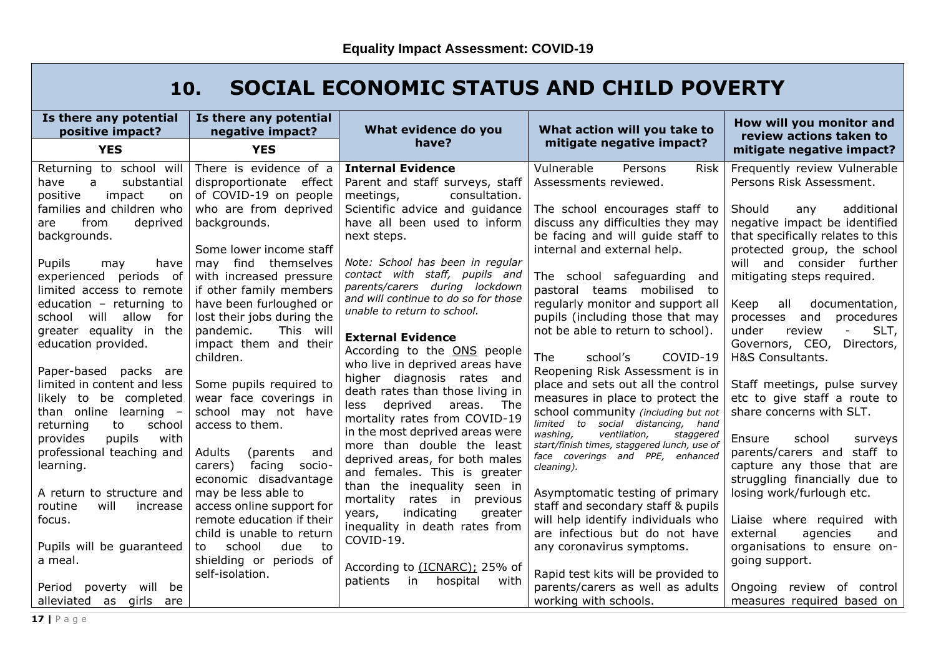## **10. SOCIAL ECONOMIC STATUS AND CHILD POVERTY**

| Is there any potential<br>positive impact?                                                                     | Is there any potential<br>negative impact?                                                  | What evidence do you<br>have?                                                                                                   | What action will you take to<br>mitigate negative impact?                                                                                           | How will you monitor and<br>review actions taken to                                                                              |
|----------------------------------------------------------------------------------------------------------------|---------------------------------------------------------------------------------------------|---------------------------------------------------------------------------------------------------------------------------------|-----------------------------------------------------------------------------------------------------------------------------------------------------|----------------------------------------------------------------------------------------------------------------------------------|
| <b>YES</b>                                                                                                     | <b>YES</b>                                                                                  |                                                                                                                                 |                                                                                                                                                     | mitigate negative impact?                                                                                                        |
| Returning to school will<br>have<br>substantial<br>a<br>positive<br>impact<br>on.                              | There is evidence of a<br>disproportionate effect<br>of COVID-19 on people                  | <b>Internal Evidence</b><br>Parent and staff surveys, staff<br>meetings,<br>consultation.                                       | Vulnerable<br>Persons<br><b>Risk</b><br>Assessments reviewed.                                                                                       | Frequently review Vulnerable<br>Persons Risk Assessment.                                                                         |
| families and children who<br>from<br>deprived<br>are<br>backgrounds.                                           | who are from deprived<br>backgrounds.<br>Some lower income staff                            | Scientific advice and guidance<br>have all been used to inform<br>next steps.                                                   | The school encourages staff to<br>discuss any difficulties they may<br>be facing and will guide staff to<br>internal and external help.             | Should<br>additional<br>any<br>negative impact be identified<br>that specifically relates to this<br>protected group, the school |
| Pupils<br>have<br>may<br>experienced periods of<br>limited access to remote                                    | may find themselves<br>with increased pressure<br>if other family members                   | Note: School has been in regular<br>contact with staff, pupils and<br>parents/carers during lockdown                            | The school safeguarding<br>and<br>pastoral teams mobilised to                                                                                       | will and consider further<br>mitigating steps required.                                                                          |
| education $-$ returning to<br>will allow<br>school<br>for<br>greater equality in the                           | have been furloughed or<br>lost their jobs during the<br>pandemic.<br>This will             | and will continue to do so for those<br>unable to return to school.                                                             | regularly monitor and support all<br>pupils (including those that may<br>not be able to return to school).                                          | Keep<br>all<br>documentation,<br>and<br>procedures<br>processes<br>review<br>SLT,<br>under                                       |
| education provided.<br>Paper-based<br>packs are                                                                | impact them and their<br>children.                                                          | <b>External Evidence</b><br>According to the ONS people<br>who live in deprived areas have<br>higher diagnosis rates and        | The<br>COVID-19<br>school's<br>Reopening Risk Assessment is in                                                                                      | Governors, CEO,<br>Directors,<br>H&S Consultants.                                                                                |
| limited in content and less<br>likely to be completed<br>than online learning $-$<br>school<br>returning<br>to | Some pupils required to<br>wear face coverings in<br>school may not have<br>access to them. | death rates than those living in<br>deprived<br>The<br>less<br>areas.<br>mortality rates from COVID-19                          | place and sets out all the control<br>measures in place to protect the<br>school community (including but not<br>limited to social distancing, hand | Staff meetings, pulse survey<br>etc to give staff a route to<br>share concerns with SLT.                                         |
| provides<br>pupils<br>with<br>professional teaching and<br>learning.                                           | Adults<br>(parents)<br>and<br>facing socio-<br>carers)<br>economic disadvantage             | in the most deprived areas were<br>more than double the least<br>deprived areas, for both males<br>and females. This is greater | washing,<br>ventilation,<br>staggered<br>start/finish times, staggered lunch, use of<br>face coverings and PPE, enhanced<br>cleaning).              | Ensure<br>school<br>surveys<br>parents/carers and staff to<br>capture any those that are<br>struggling financially due to        |
| A return to structure and<br>will<br>routine<br>increase                                                       | may be less able to<br>access online support for                                            | than the inequality seen in<br>mortality<br>rates in<br>previous<br>indicating<br>greater<br>years,                             | Asymptomatic testing of primary<br>staff and secondary staff & pupils                                                                               | losing work/furlough etc.                                                                                                        |
| focus.<br>Pupils will be guaranteed                                                                            | remote education if their<br>child is unable to return<br>school<br>due<br>to<br>to         | inequality in death rates from<br>COVID-19.                                                                                     | will help identify individuals who<br>are infectious but do not have<br>any coronavirus symptoms.                                                   | Liaise where required<br>with<br>external<br>agencies<br>and<br>organisations to ensure on-                                      |
| a meal.                                                                                                        | shielding or periods of<br>self-isolation.                                                  | According to (ICNARC); 25% of<br>patients<br>hospital<br>with<br>in in                                                          | Rapid test kits will be provided to                                                                                                                 | going support.                                                                                                                   |
| Period poverty<br>will<br>be<br>alleviated as girls<br>are                                                     |                                                                                             |                                                                                                                                 | parents/carers as well as adults<br>working with schools.                                                                                           | Ongoing review of control<br>measures required based on                                                                          |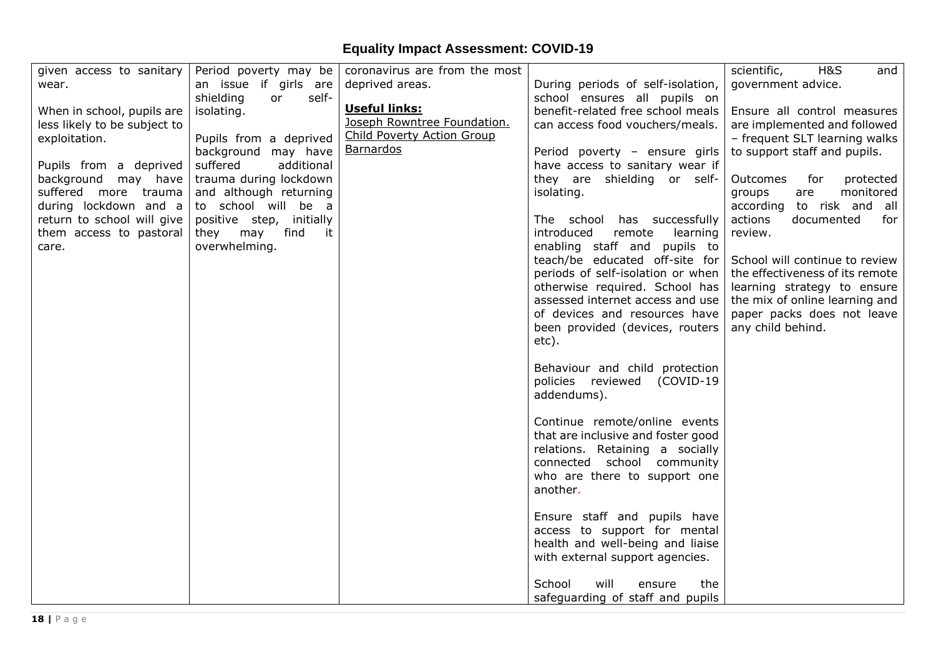| given access to sanitary     |                                 | Period poverty may be coronavirus are from the most |                                                             | <b>H&amp;S</b><br>scientific,<br>and |
|------------------------------|---------------------------------|-----------------------------------------------------|-------------------------------------------------------------|--------------------------------------|
| wear.                        | an issue if girls are           | deprived areas.                                     | During periods of self-isolation,                           | government advice.                   |
|                              | shielding<br>self-<br><b>or</b> |                                                     | school ensures all pupils on                                |                                      |
| When in school, pupils are   | isolating.                      | Useful links:                                       | benefit-related free school meals                           | Ensure all control measures          |
| less likely to be subject to |                                 | Joseph Rowntree Foundation.                         | can access food vouchers/meals.                             | are implemented and followed         |
| exploitation.                | Pupils from a deprived          | <b>Child Poverty Action Group</b>                   |                                                             | - frequent SLT learning walks        |
|                              | background may have             | <b>Barnardos</b>                                    | Period poverty - ensure girls                               | to support staff and pupils.         |
| Pupils from a deprived       | suffered<br>additional          |                                                     | have access to sanitary wear if                             |                                      |
| background may have          | trauma during lockdown          |                                                     | they are shielding or self-                                 | Outcomes<br>for<br>protected         |
| suffered more trauma         | and although returning          |                                                     | isolating.                                                  | monitored<br>groups<br>are           |
| during lockdown and a        | to school will be a             |                                                     |                                                             | according to risk and all            |
| return to school will give   | positive step, initially        |                                                     | The school has successfully                                 | actions<br>documented<br>for         |
| them access to pastoral      | find<br>they may<br>it          |                                                     | introduced<br>remote<br>learning                            | review.                              |
| care.                        | overwhelming.                   |                                                     | enabling staff and pupils to                                |                                      |
|                              |                                 |                                                     | teach/be educated off-site for                              | School will continue to review       |
|                              |                                 |                                                     | periods of self-isolation or when                           | the effectiveness of its remote      |
|                              |                                 |                                                     | otherwise required. School has                              | learning strategy to ensure          |
|                              |                                 |                                                     | assessed internet access and use                            | the mix of online learning and       |
|                              |                                 |                                                     | of devices and resources have                               | paper packs does not leave           |
|                              |                                 |                                                     | been provided (devices, routers                             | any child behind.                    |
|                              |                                 |                                                     | etc).                                                       |                                      |
|                              |                                 |                                                     | Behaviour and child protection                              |                                      |
|                              |                                 |                                                     | policies reviewed<br>(COVID-19                              |                                      |
|                              |                                 |                                                     | addendums).                                                 |                                      |
|                              |                                 |                                                     |                                                             |                                      |
|                              |                                 |                                                     | Continue remote/online events                               |                                      |
|                              |                                 |                                                     | that are inclusive and foster good                          |                                      |
|                              |                                 |                                                     | relations. Retaining a socially                             |                                      |
|                              |                                 |                                                     | connected school community                                  |                                      |
|                              |                                 |                                                     | who are there to support one                                |                                      |
|                              |                                 |                                                     | another.                                                    |                                      |
|                              |                                 |                                                     |                                                             |                                      |
|                              |                                 |                                                     | Ensure staff and pupils have                                |                                      |
|                              |                                 |                                                     | access to support for mental                                |                                      |
|                              |                                 |                                                     | health and well-being and liaise                            |                                      |
|                              |                                 |                                                     | with external support agencies.                             |                                      |
|                              |                                 |                                                     | will                                                        |                                      |
|                              |                                 |                                                     | School<br>the<br>ensure<br>safeguarding of staff and pupils |                                      |
|                              |                                 |                                                     |                                                             |                                      |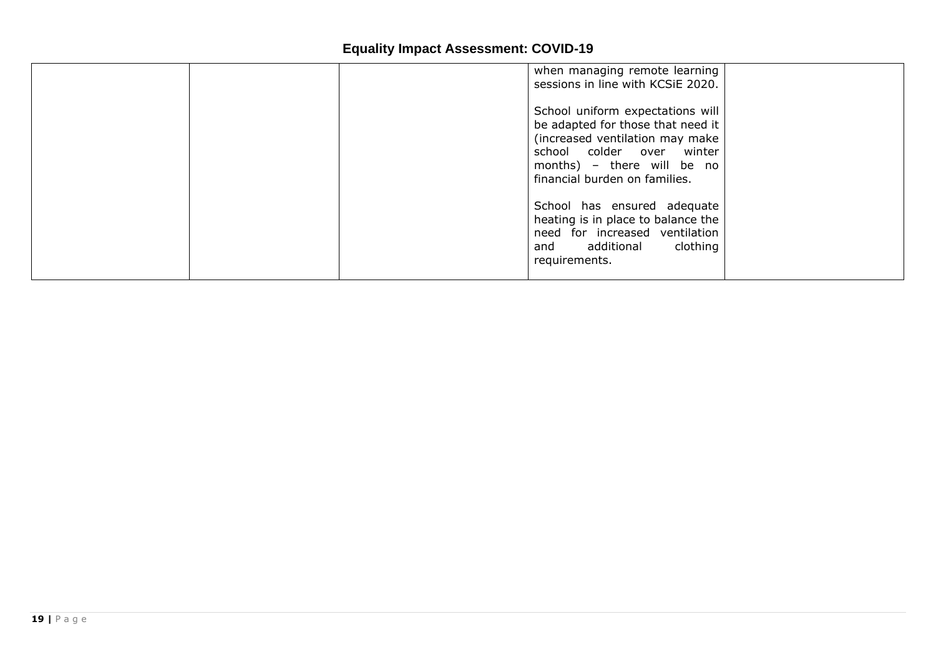| when managing remote learning<br>sessions in line with KCSiE 2020.                                                                                                                                   |  |
|------------------------------------------------------------------------------------------------------------------------------------------------------------------------------------------------------|--|
| School uniform expectations will<br>be adapted for those that need it<br>(increased ventilation may make<br>school colder over winter<br>months) - there will be no<br>financial burden on families. |  |
| School has ensured adequate<br>heating is in place to balance the<br>need for increased ventilation<br>and additional clothing<br>requirements.                                                      |  |